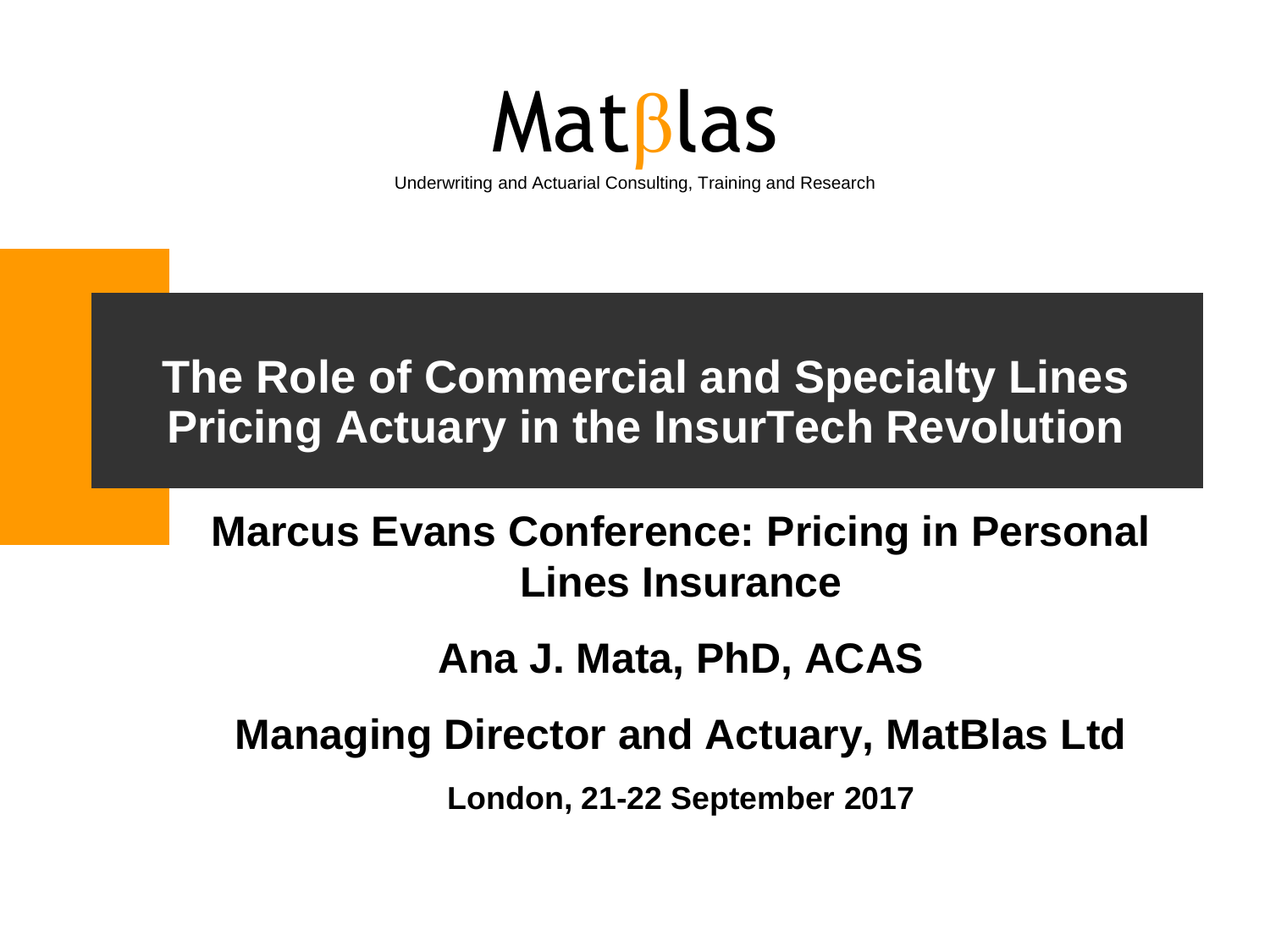

Underwriting and Actuarial Consulting, Training and Research

#### **The Role of Commercial and Specialty Lines Pricing Actuary in the InsurTech Revolution**

#### **Marcus Evans Conference: Pricing in Personal Lines Insurance**

**Ana J. Mata, PhD, ACAS**

#### **Managing Director and Actuary, MatBlas Ltd**

**London, 21-22 September 2017**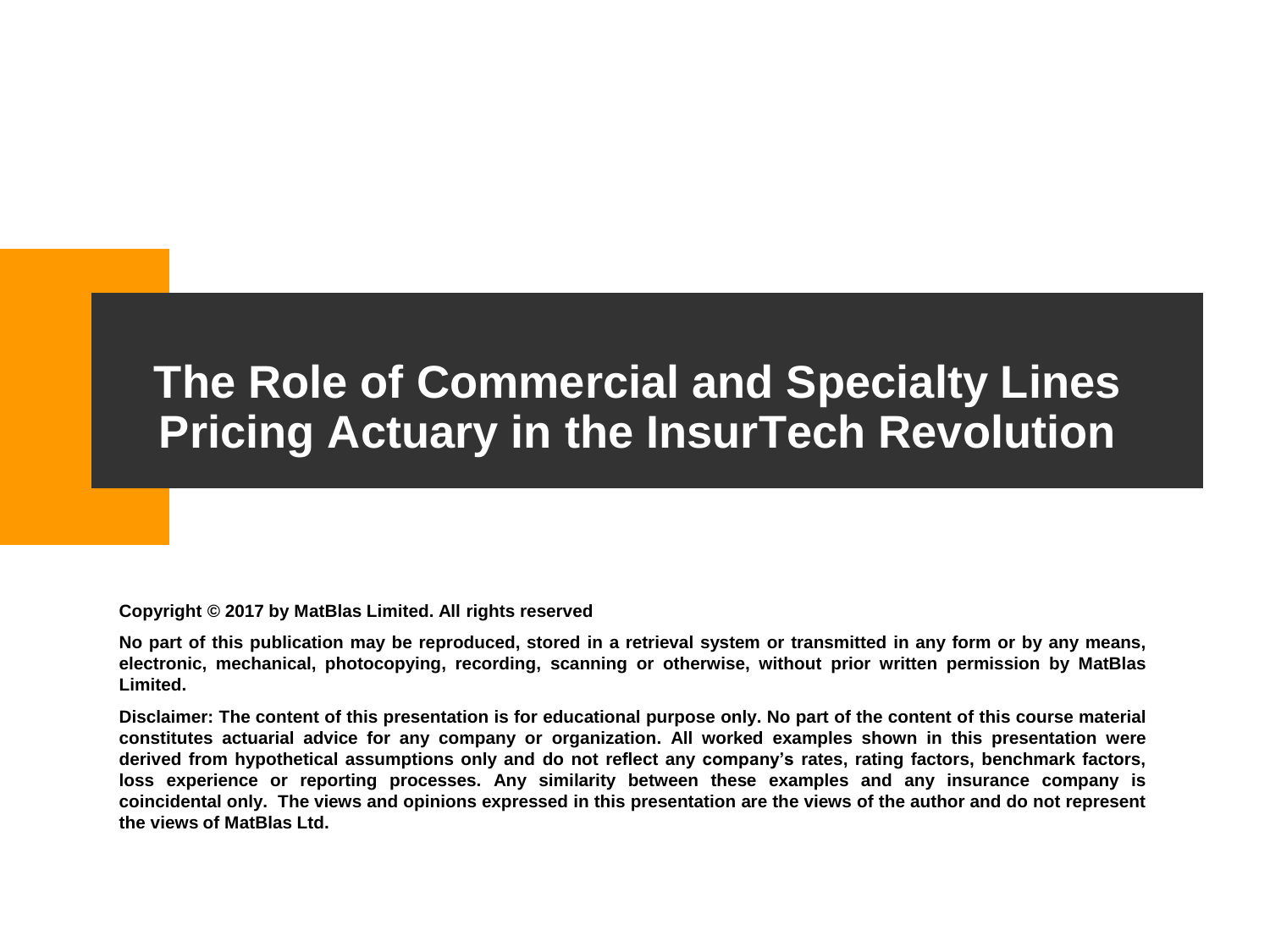#### **The Role of Commercial and Specialty Lines Pricing Actuary in the InsurTech Revolution**

**Copyright © 2017 by MatBlas Limited. All rights reserved**

No part of this publication may be reproduced, stored in a retrieval system or transmitted in any form or by any means, **electronic, mechanical, photocopying, recording, scanning or otherwise, without prior written permission by MatBlas Limited.**

Disclaimer: The content of this presentation is for educational purpose only. No part of the content of this course material constitutes actuarial advice for any company or organization. All worked examples shown in this presentation were derived from hypothetical assumptions only and do not reflect any company's rates, rating factors, benchmark factors, **loss experience or reporting processes. Any similarity between these examples and any insurance company is** coincidental only. The views and opinions expressed in this presentation are the views of the author and do not represent **the views of MatBlas Ltd.**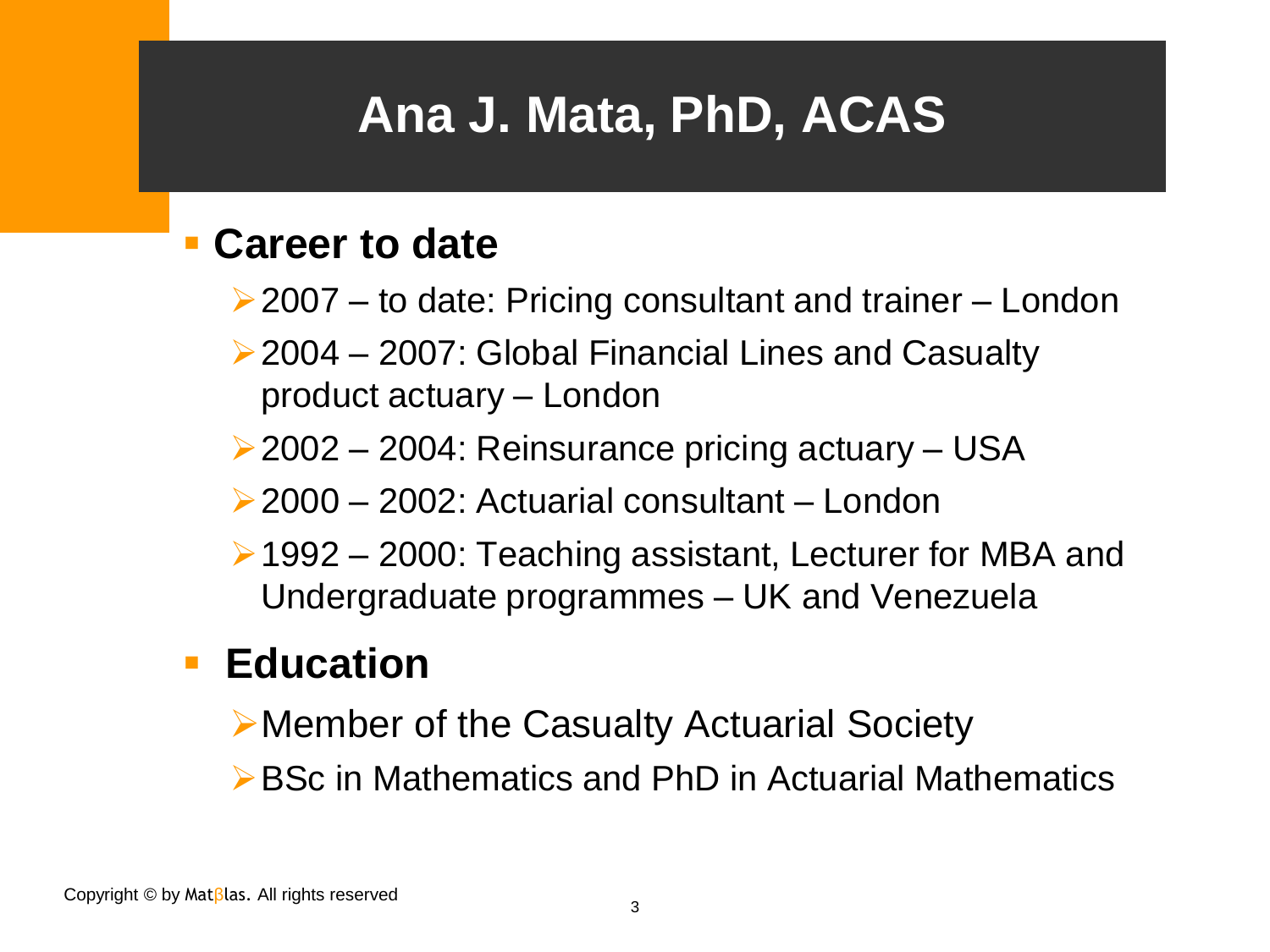# **Ana J. Mata, PhD, ACAS**

#### **Career to date**

- ▶ 2007 to date: Pricing consultant and trainer London
- ▶ 2004 2007: Global Financial Lines and Casualty product actuary – London
- 2002 2004: Reinsurance pricing actuary USA
- 2000 2002: Actuarial consultant London
- ▶ 1992 2000: Teaching assistant, Lecturer for MBA and Undergraduate programmes – UK and Venezuela

#### **Education**

Member of the Casualty Actuarial Society ▶ BSc in Mathematics and PhD in Actuarial Mathematics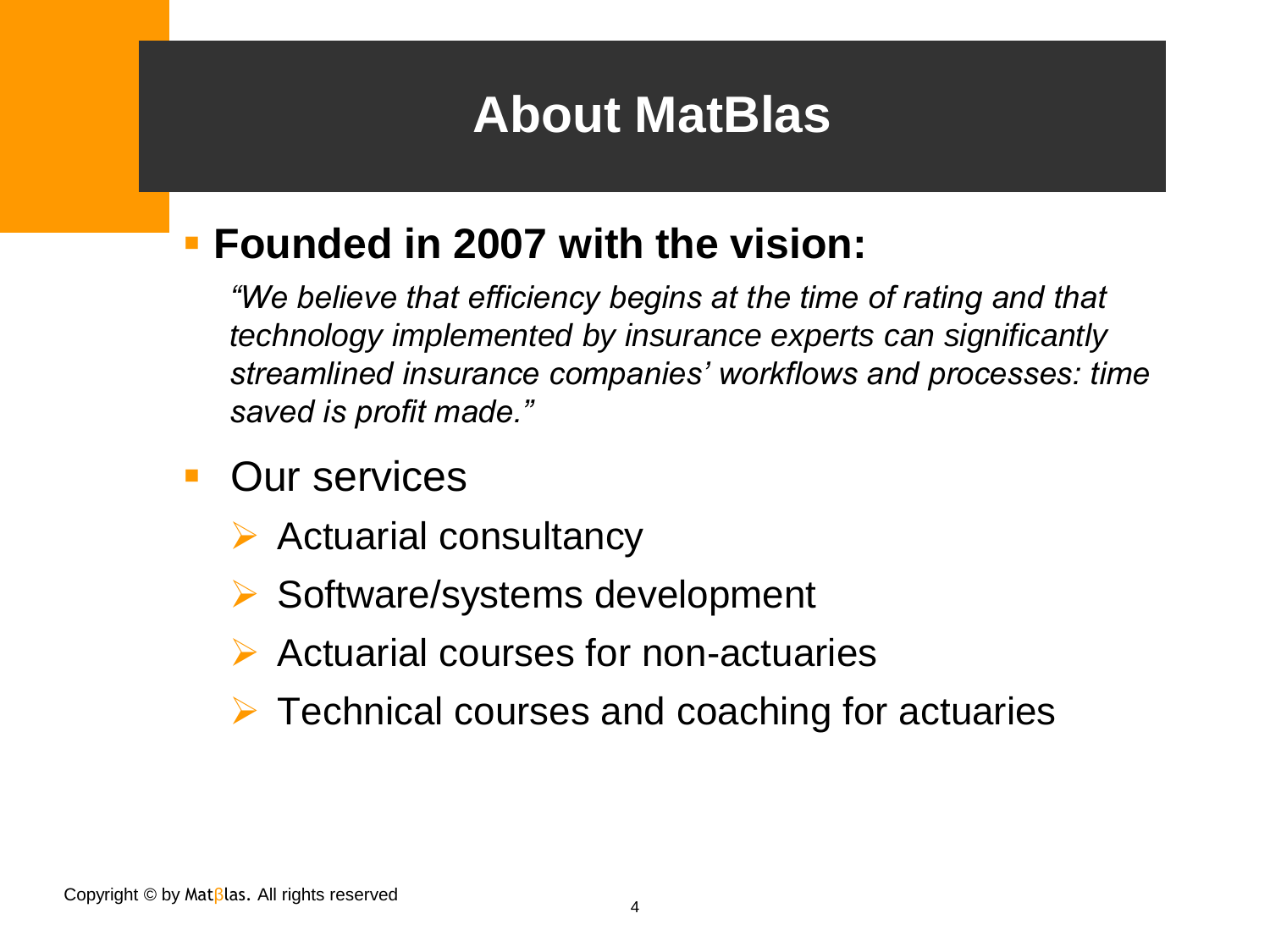# **About MatBlas**

#### **Founded in 2007 with the vision:**

*"We believe that efficiency begins at the time of rating and that technology implemented by insurance experts can significantly streamlined insurance companies' workflows and processes: time saved is profit made."*

- **Our services** 
	- $\triangleright$  Actuarial consultancy
	- Software/systems development
	- Actuarial courses for non-actuaries
	- $\triangleright$  Technical courses and coaching for actuaries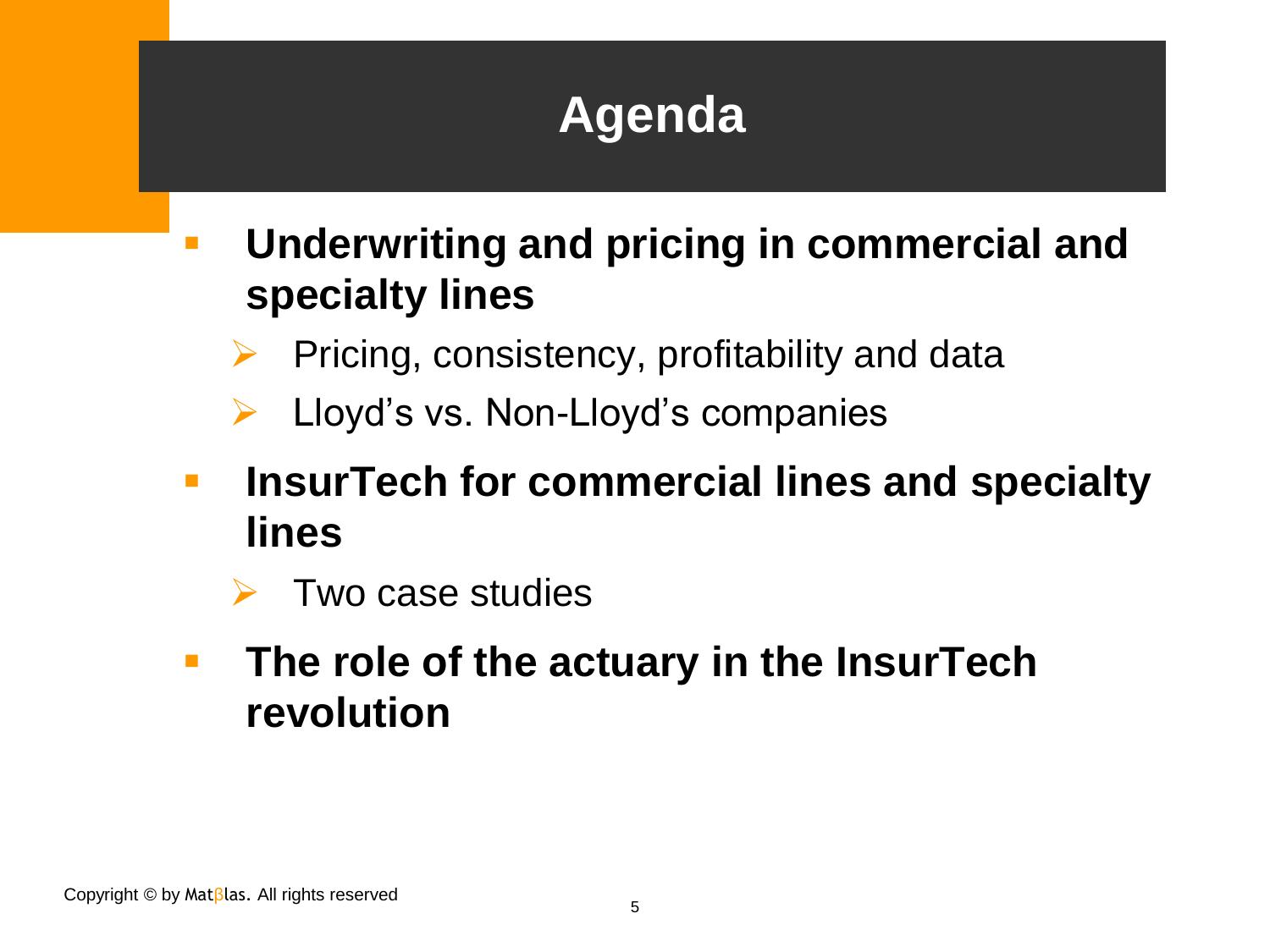# **Agenda**

- **Underwriting and pricing in commercial and specialty lines**
	- $\triangleright$  Pricing, consistency, profitability and data
	- $\triangleright$  Lloyd's vs. Non-Lloyd's companies
- **InsurTech for commercial lines and specialty lines**
	- Two case studies
- **The role of the actuary in the InsurTech revolution**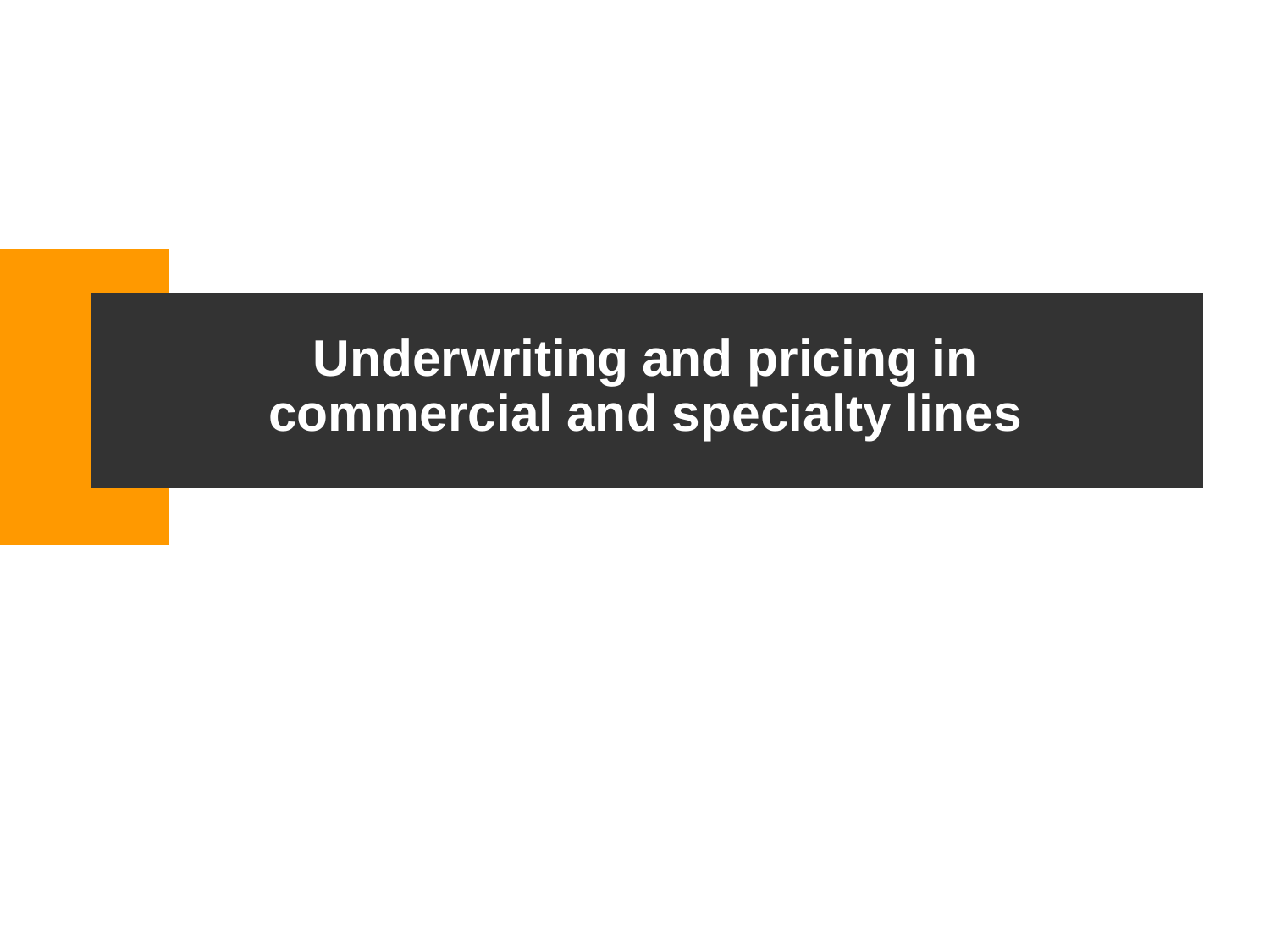#### **Underwriting and pricing in commercial and specialty lines**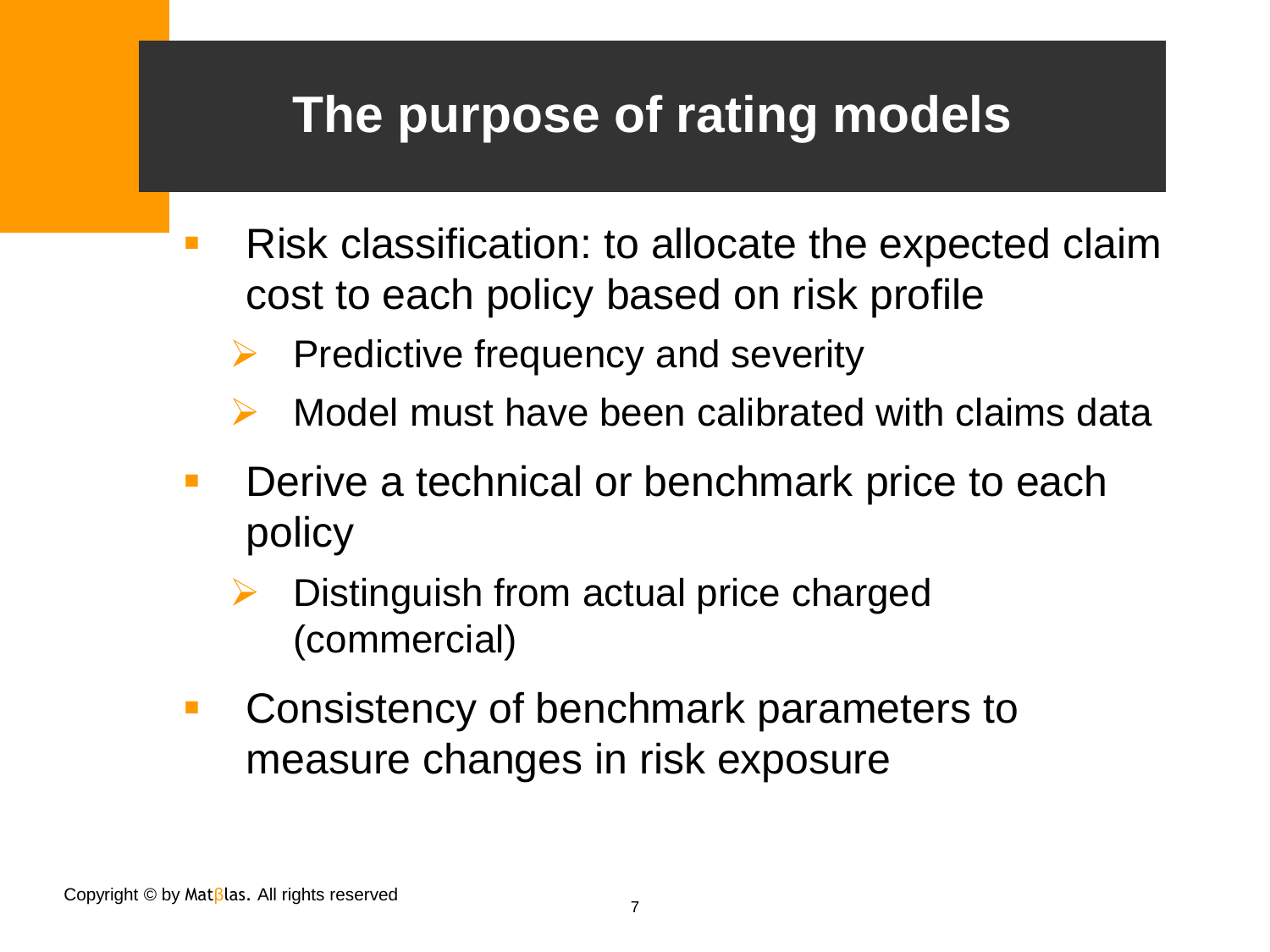## **The purpose of rating models**

- **Risk classification: to allocate the expected claim** cost to each policy based on risk profile
	- $\triangleright$  Predictive frequency and severity
	- Model must have been calibrated with claims data
- **Derive a technical or benchmark price to each** policy
	- $\triangleright$  Distinguish from actual price charged (commercial)
- Consistency of benchmark parameters to measure changes in risk exposure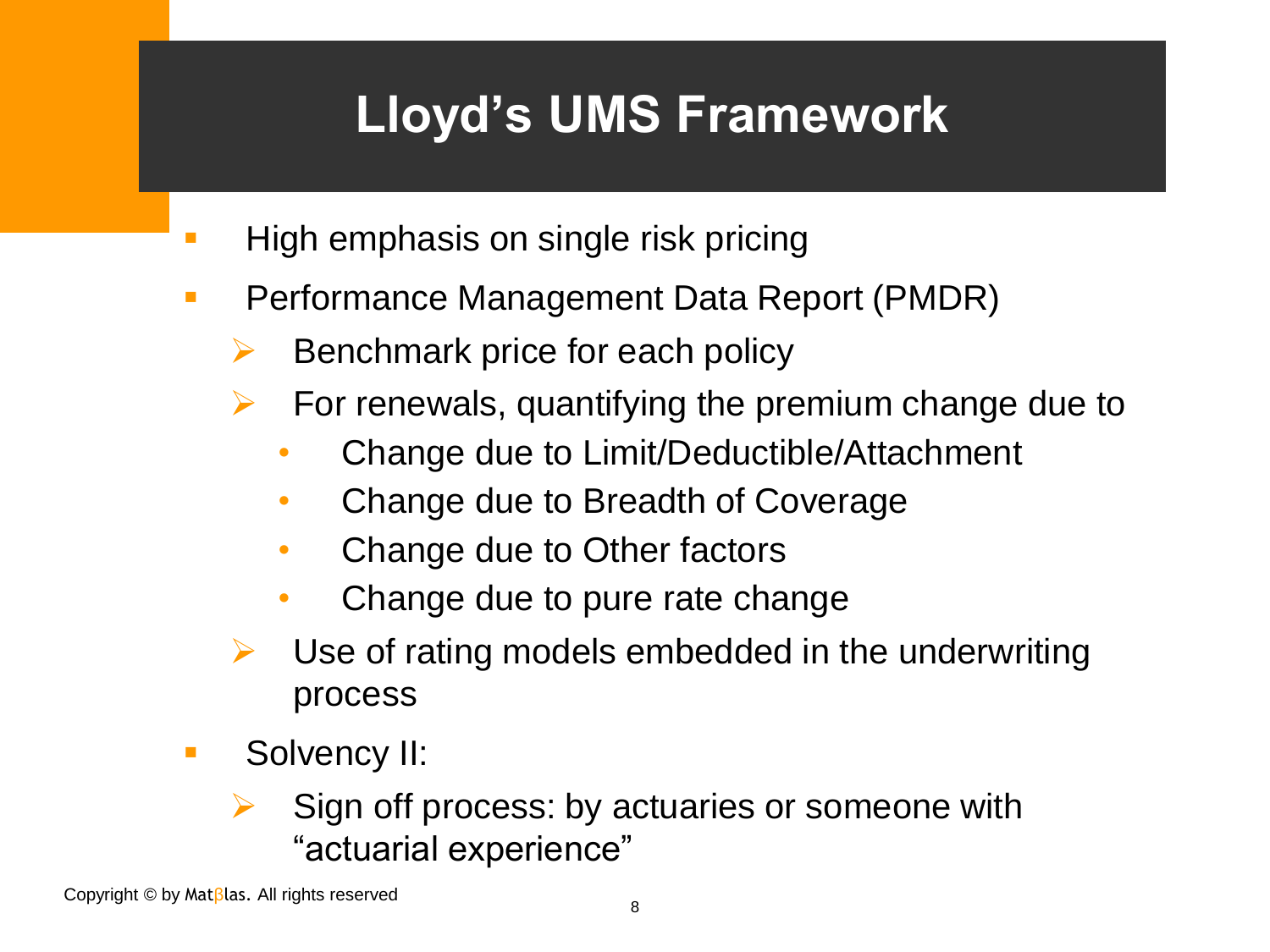# **Lloyd's UMS Framework**

- **High emphasis on single risk pricing**
- **Performance Management Data Report (PMDR)** 
	- $\triangleright$  Benchmark price for each policy
	- $\triangleright$  For renewals, quantifying the premium change due to
		- Change due to Limit/Deductible/Attachment
		- Change due to Breadth of Coverage
		- Change due to Other factors
		- Change due to pure rate change
	- Use of rating models embedded in the underwriting process
- Solvency II:
	- Sign off process: by actuaries or someone with "actuarial experience"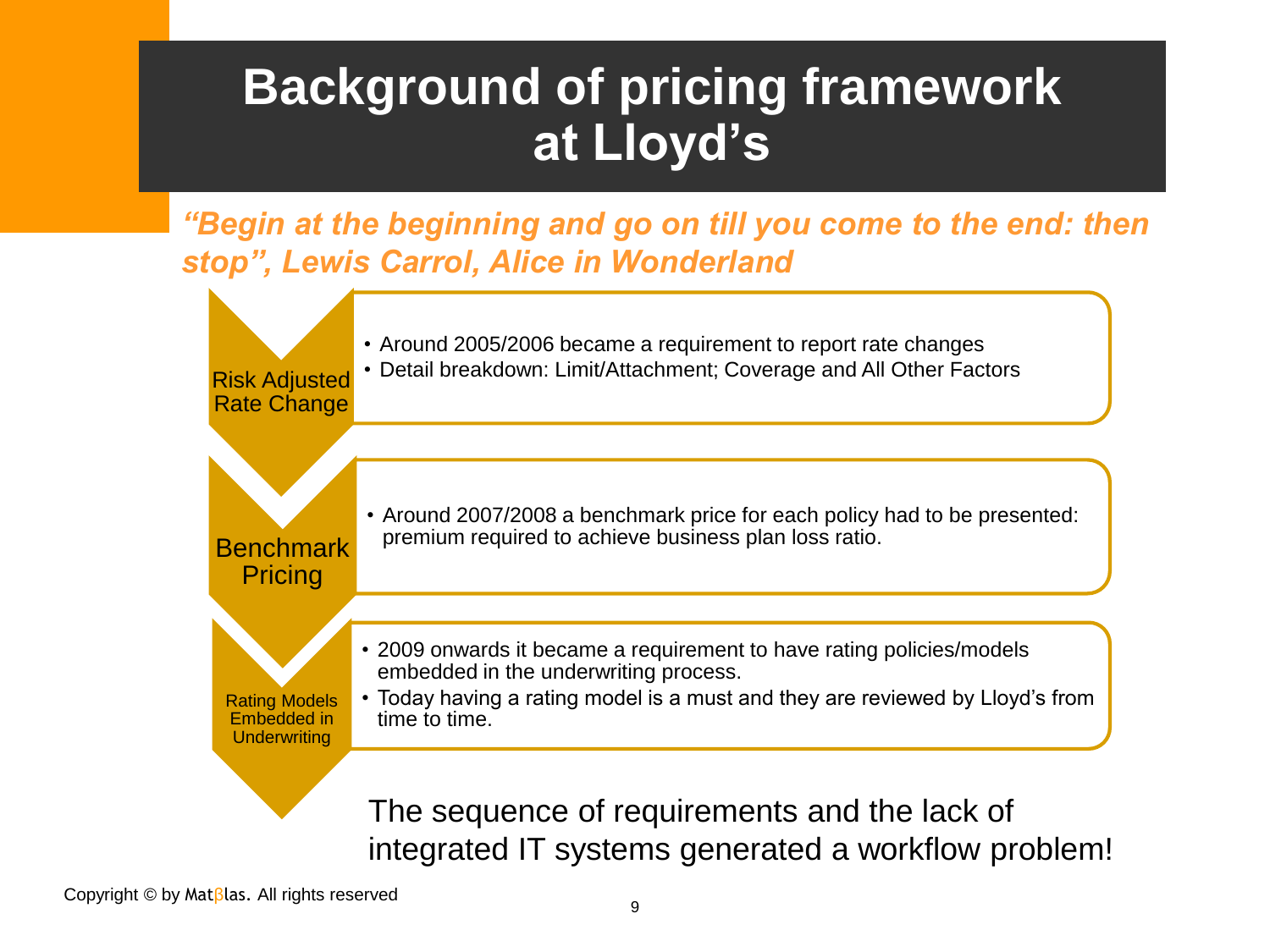# **Background of pricing framework at Lloyd's**

*"Begin at the beginning and go on till you come to the end: then stop", Lewis Carrol, Alice in Wonderland*



integrated IT systems generated a workflow problem!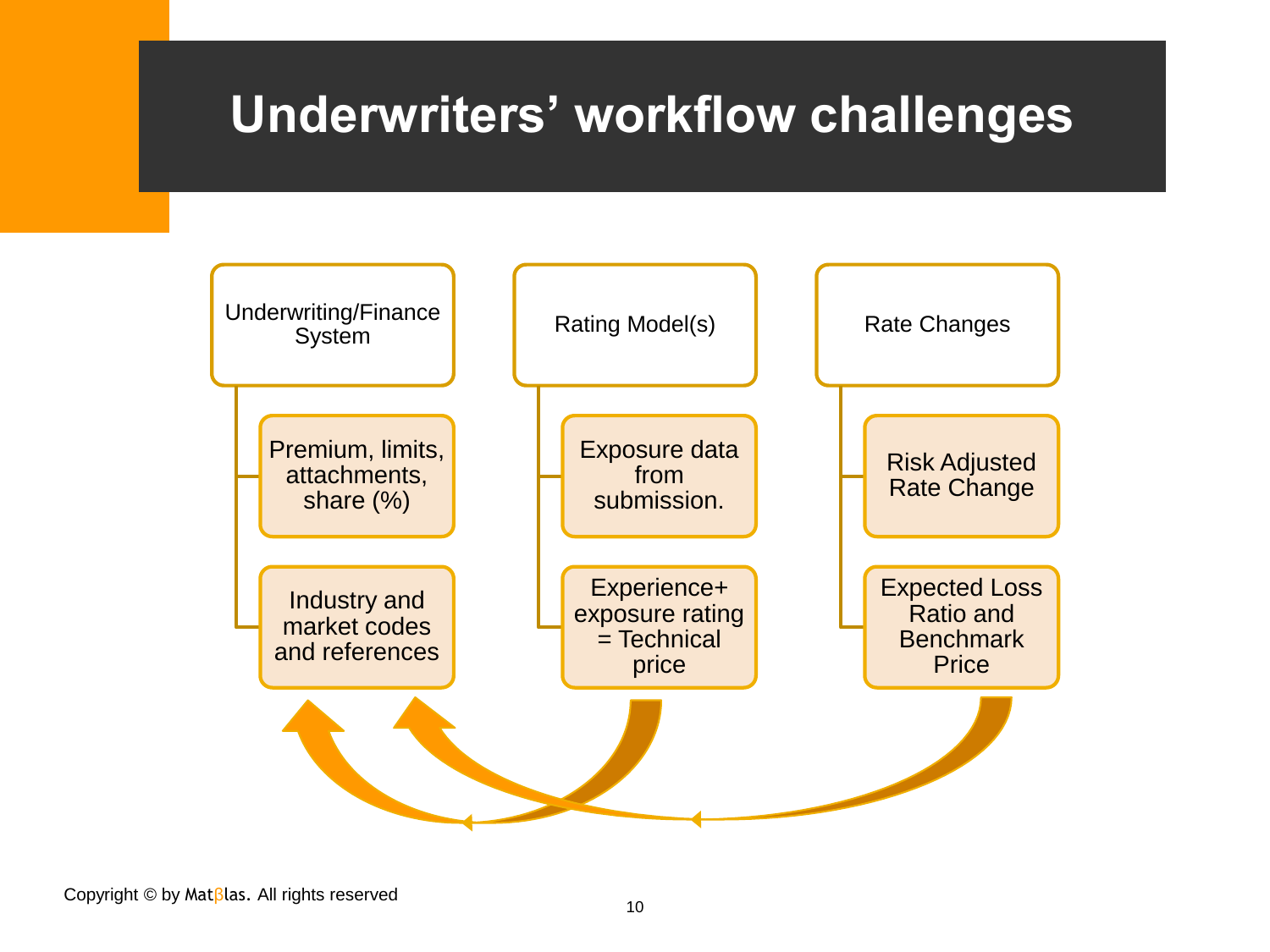#### **Underwriters' workflow challenges**

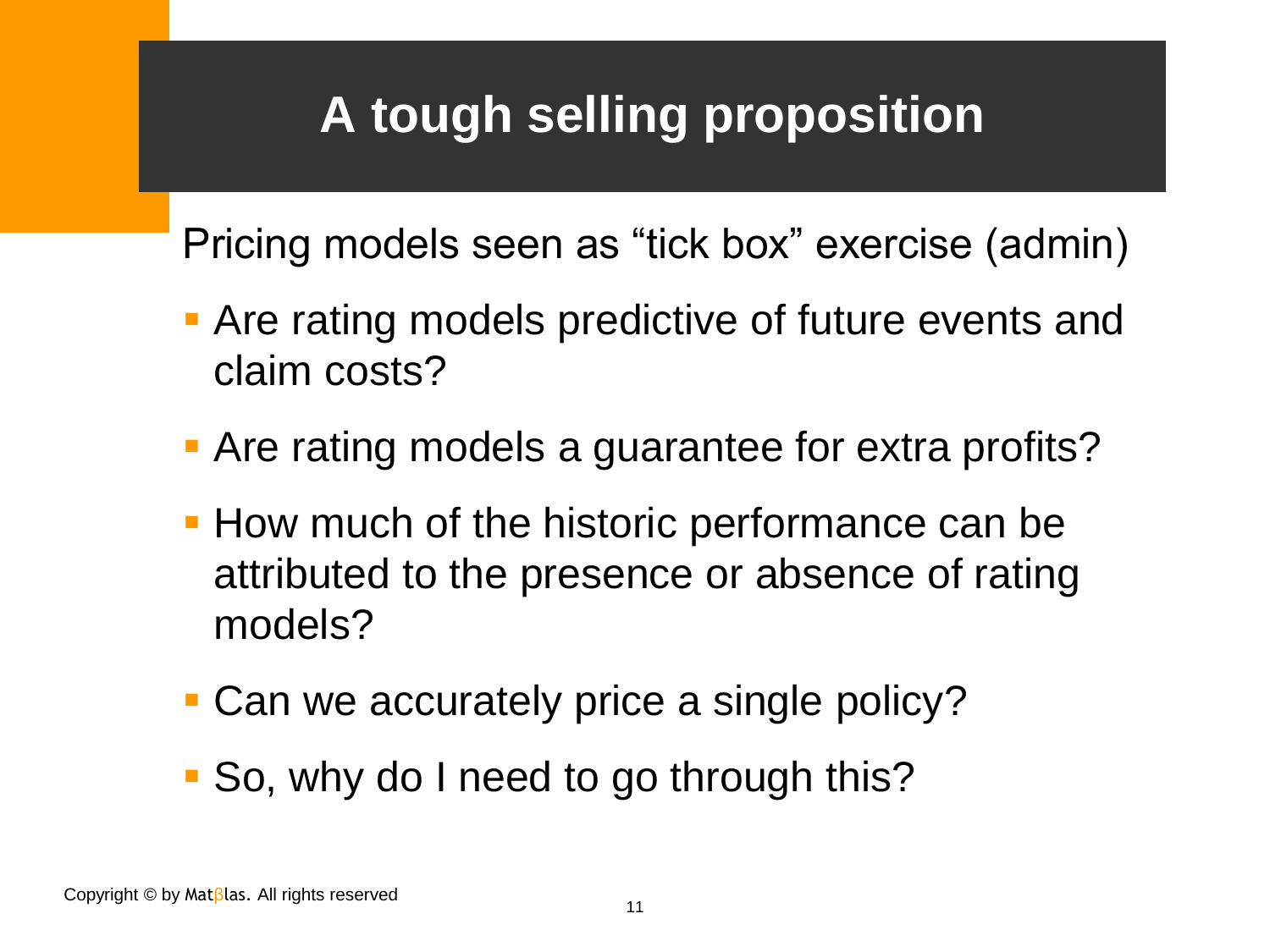# **A tough selling proposition**

Pricing models seen as "tick box" exercise (admin)

- **Are rating models predictive of future events and** claim costs?
- **Are rating models a guarantee for extra profits?**
- **How much of the historic performance can be** attributed to the presence or absence of rating models?
- **Can we accurately price a single policy?**
- So, why do I need to go through this?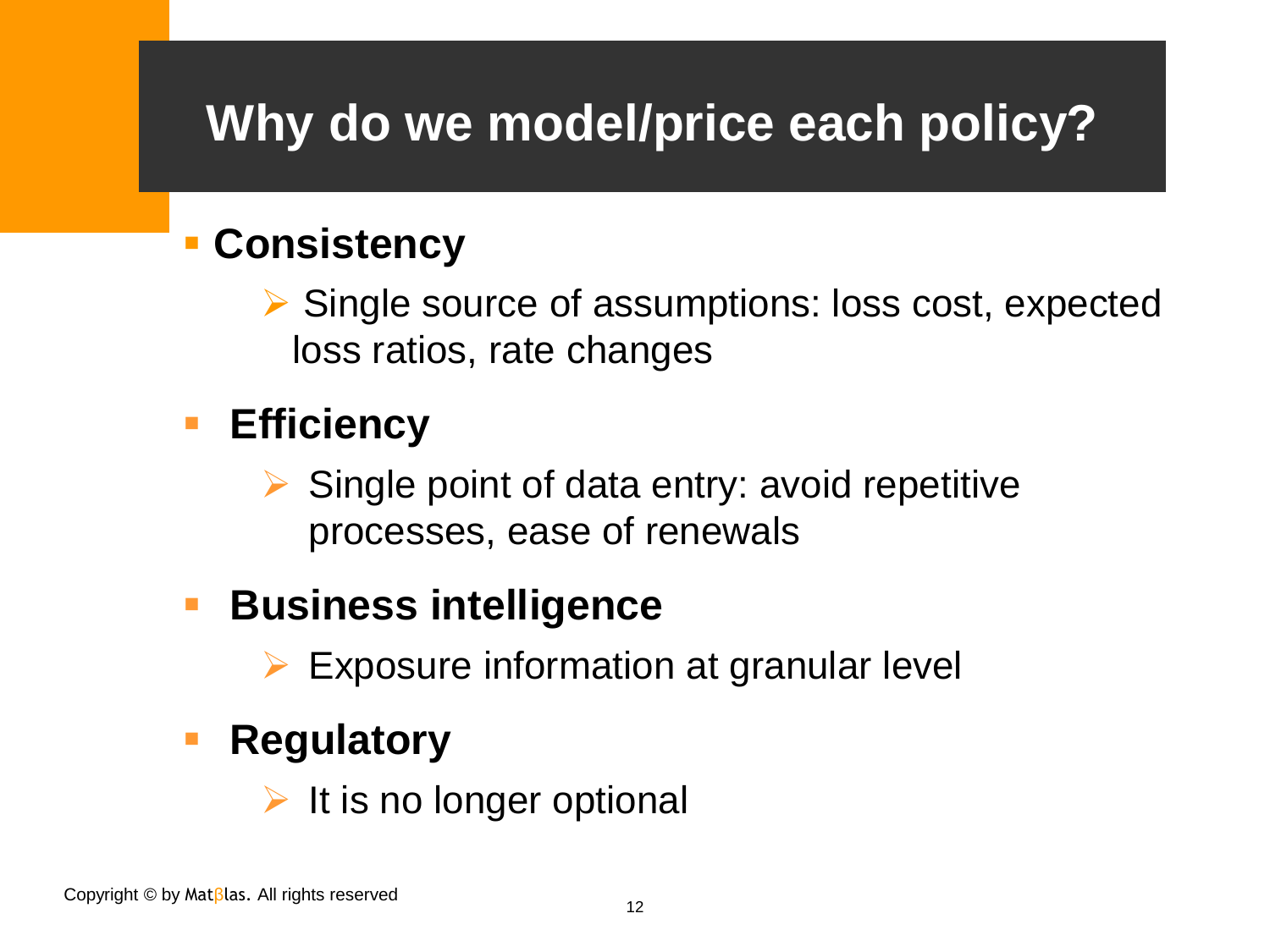# **Why do we model/price each policy?**

#### **Consistency**

 $\triangleright$  Single source of assumptions: loss cost, expected loss ratios, rate changes

#### **Efficiency**

 $\triangleright$  Single point of data entry: avoid repetitive processes, ease of renewals

#### **Business intelligence**

 $\triangleright$  Exposure information at granular level

#### **Regulatory**

 $\triangleright$  It is no longer optional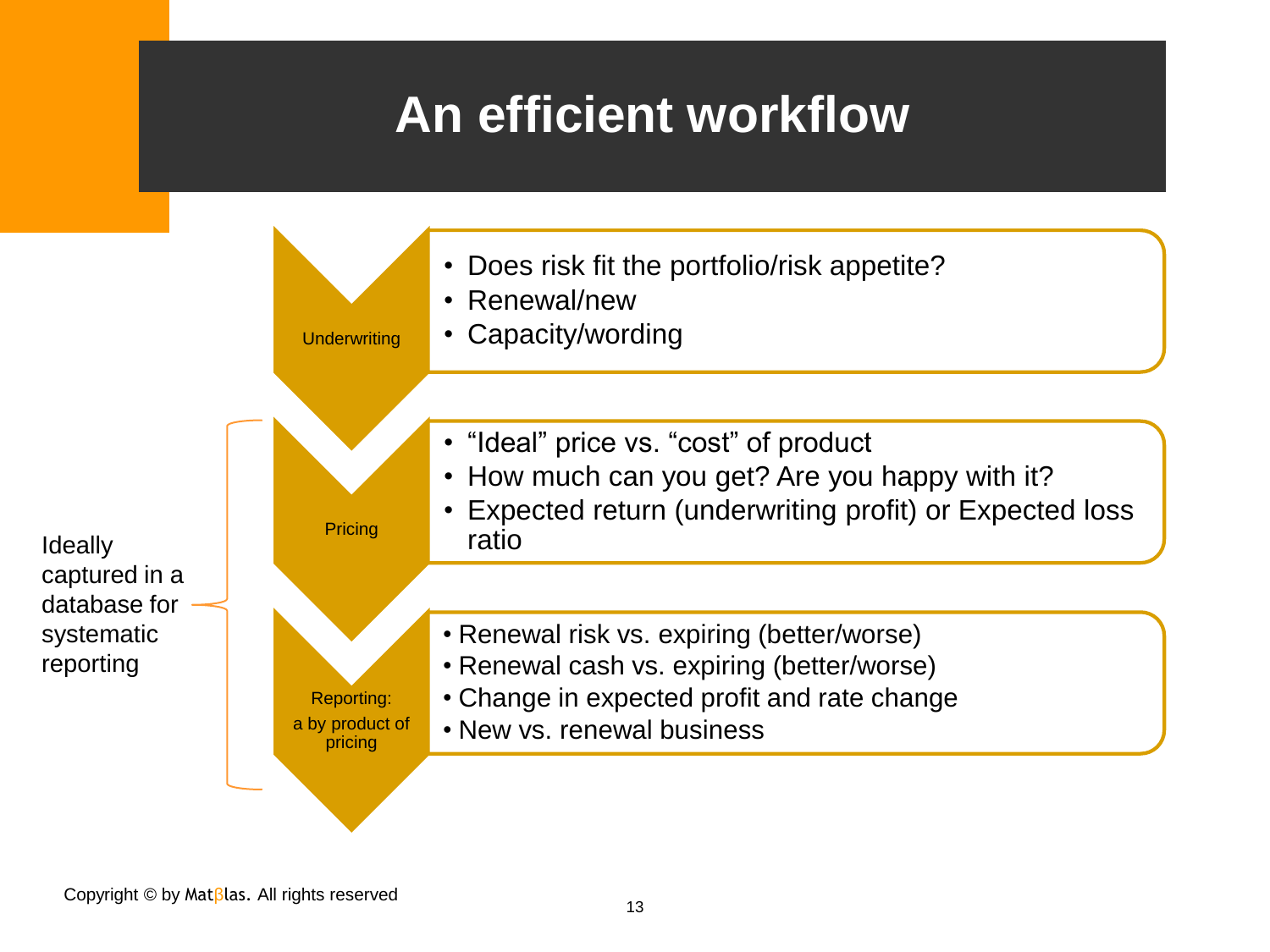# **An efficient workflow**



Copyright © by Matβlas. All rights reserved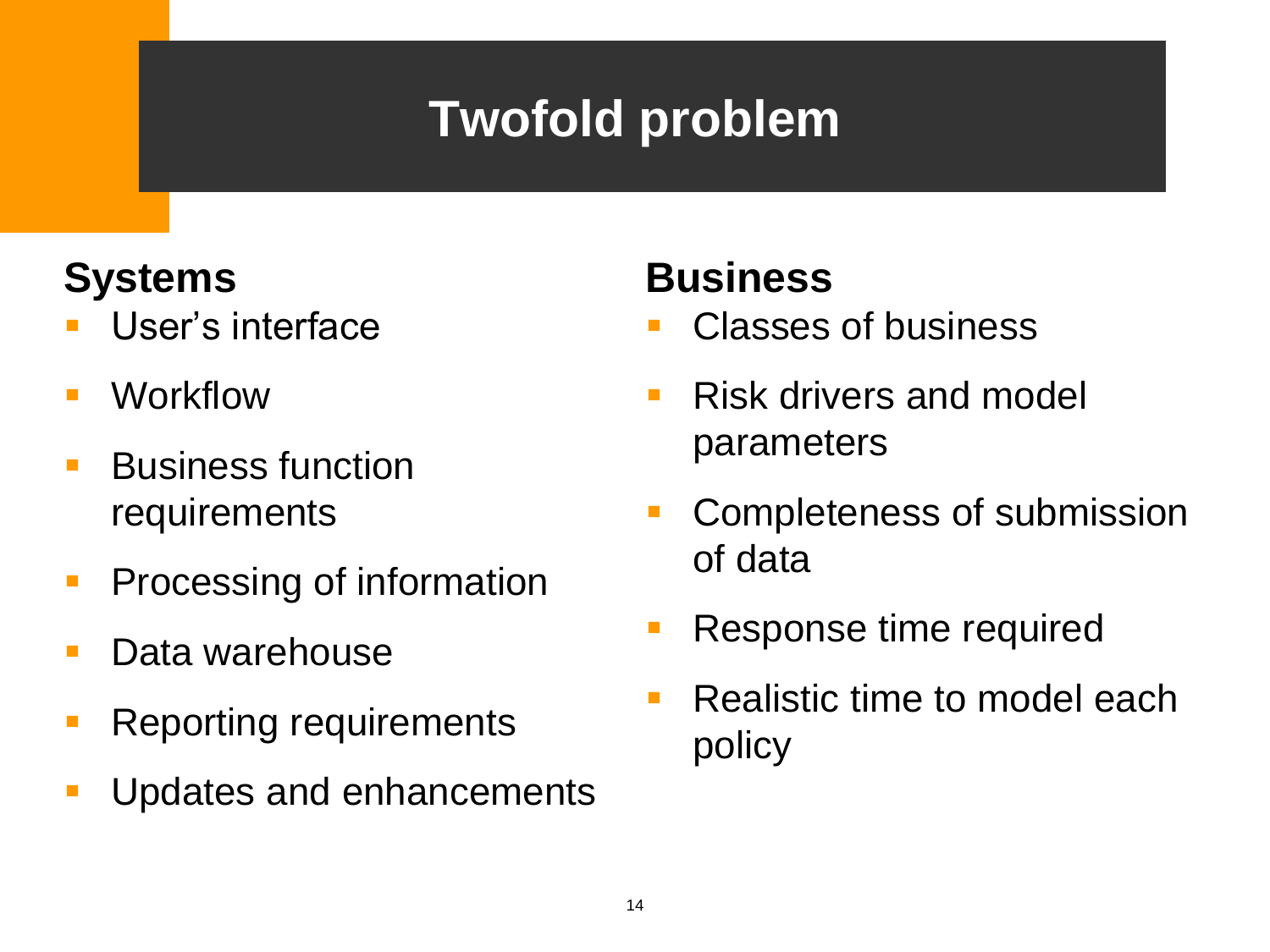# **Twofold problem**

#### **Systems**

- User's interface
- **Workflow**
- **Business function** requirements
- **Processing of information**
- Data warehouse
- **Reporting requirements**
- Updates and enhancements

#### **Business**

- Classes of business
- **Risk drivers and model** parameters
- **Completeness of submission** of data
- **Response time required**
- **Realistic time to model each** policy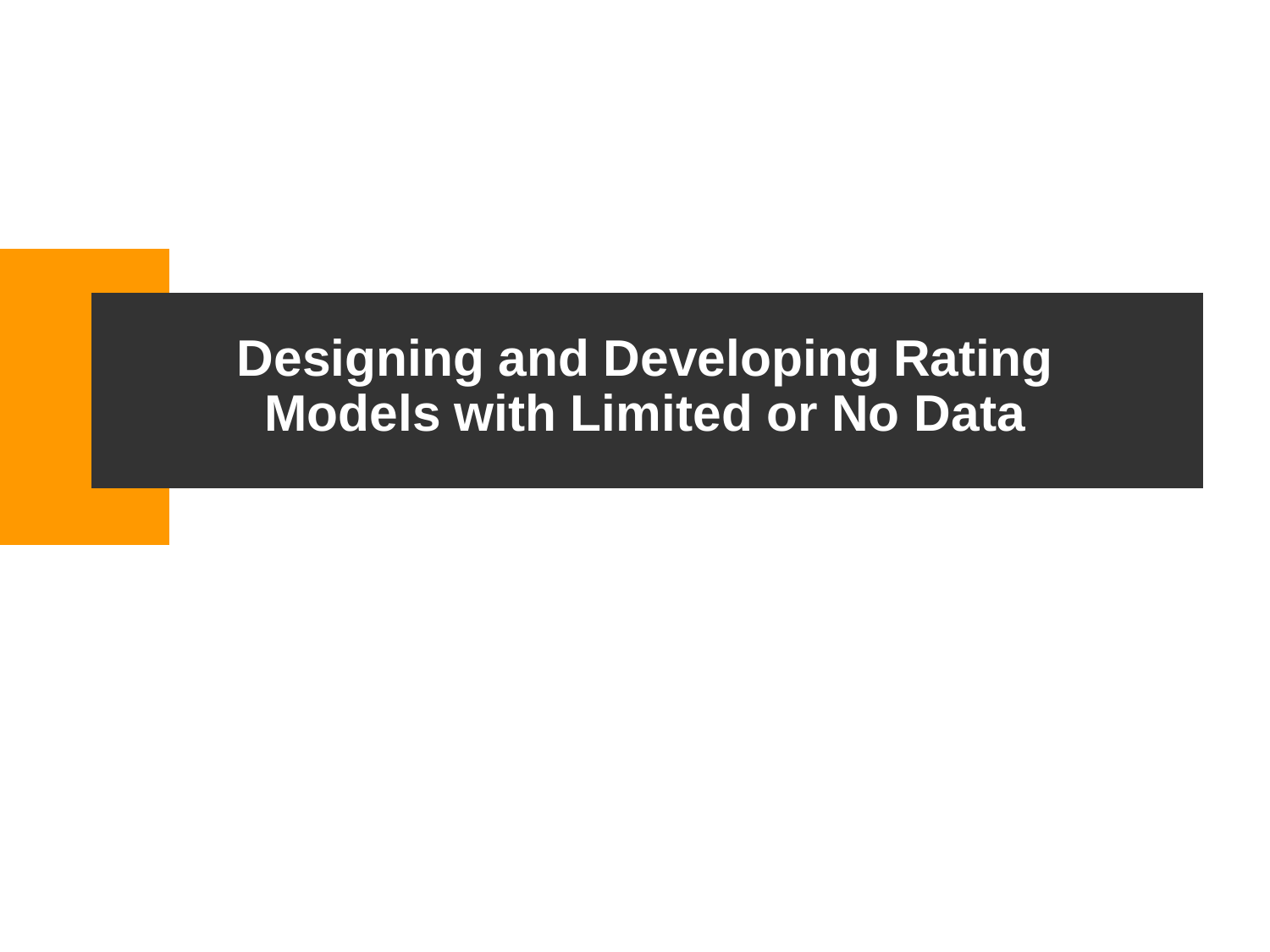#### **Designing and Developing Rating Models with Limited or No Data**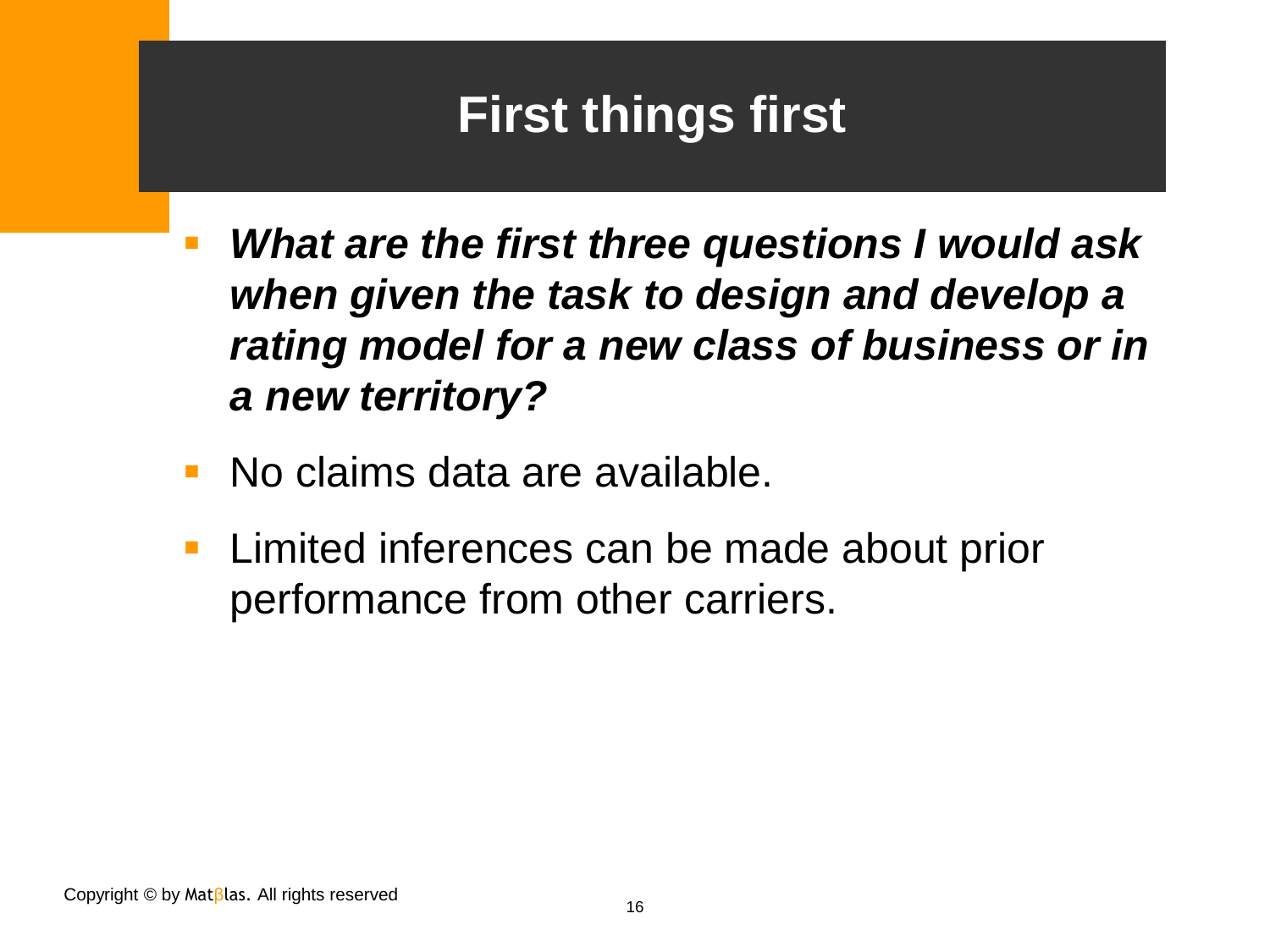# **First things first**

- *What are the first three questions I would ask when given the task to design and develop a rating model for a new class of business or in a new territory?*
- No claims data are available.
- Limited inferences can be made about prior performance from other carriers.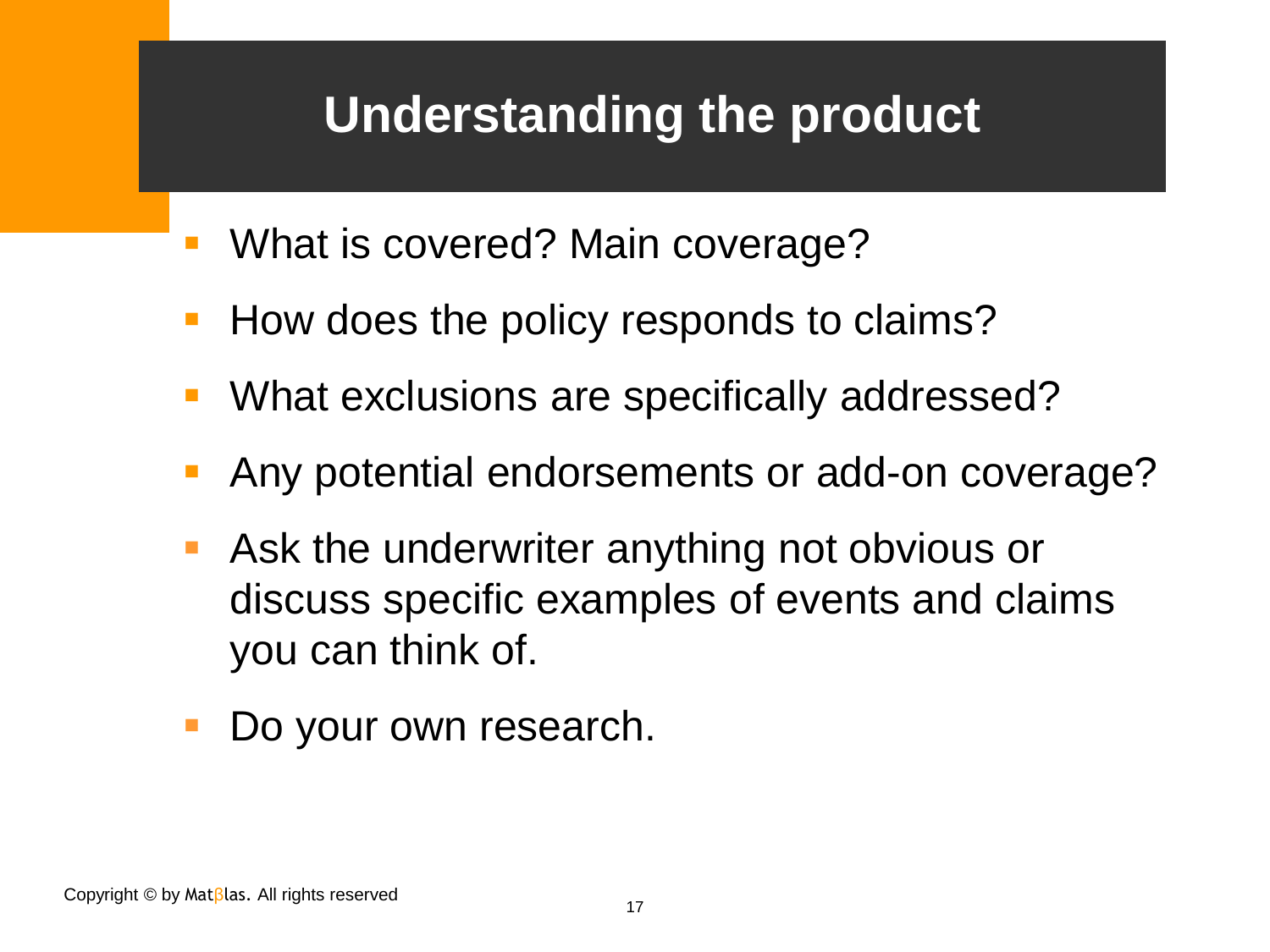## **Understanding the product**

- What is covered? Main coverage?
- How does the policy responds to claims?
- What exclusions are specifically addressed?
- Any potential endorsements or add-on coverage?
- Ask the underwriter anything not obvious or discuss specific examples of events and claims you can think of.
- Do your own research.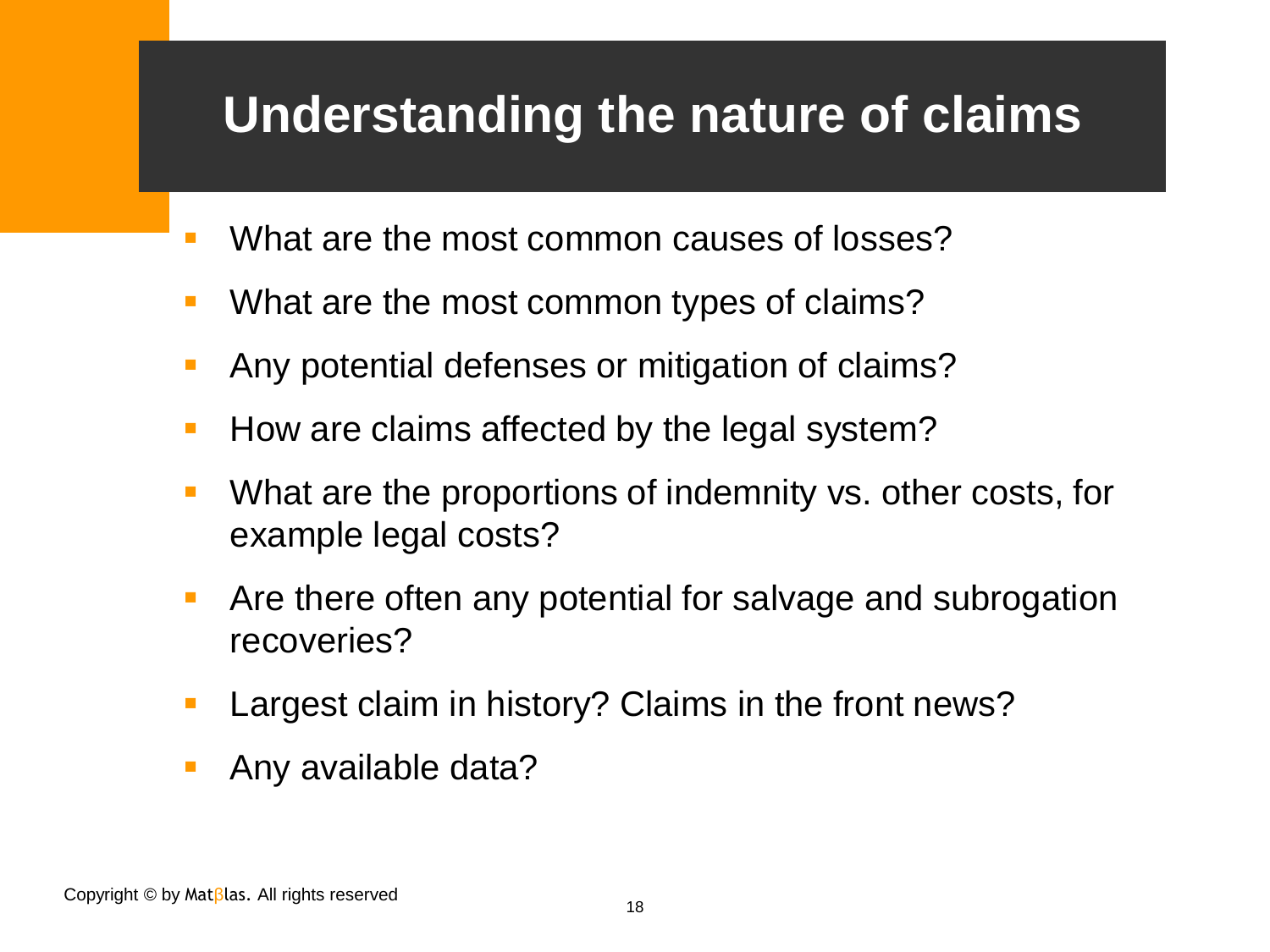# **Understanding the nature of claims**

- **Number 1** What are the most common causes of losses?
- What are the most common types of claims?
- **Any potential defenses or mitigation of claims?**
- How are claims affected by the legal system?
- What are the proportions of indemnity vs. other costs, for example legal costs?
- **Are there often any potential for salvage and subrogation** recoveries?
- Largest claim in history? Claims in the front news?
- Any available data?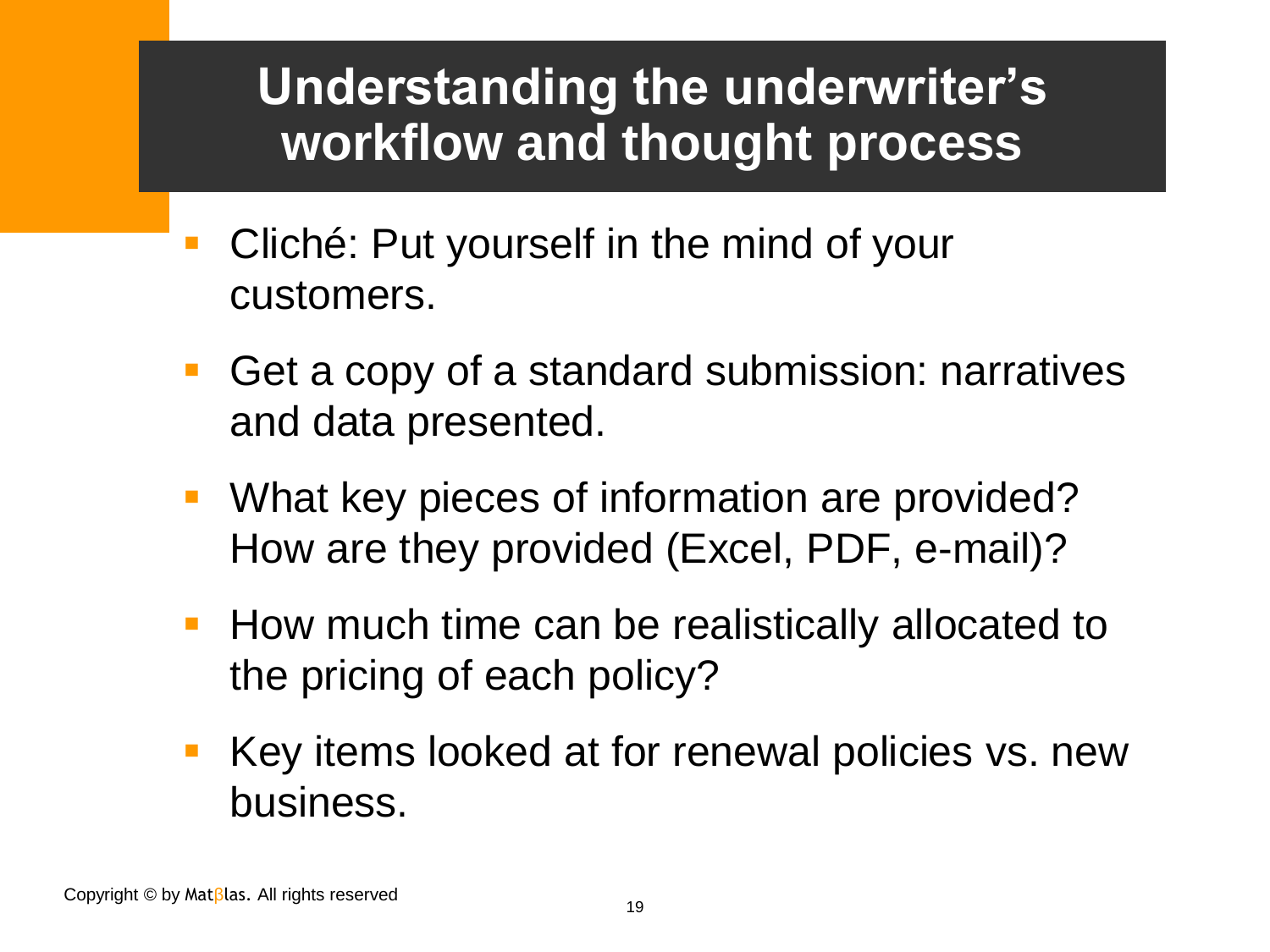## **Understanding the underwriter's workflow and thought process**

- **Cliché: Put yourself in the mind of your** customers.
- Get a copy of a standard submission: narratives and data presented.
- What key pieces of information are provided? How are they provided (Excel, PDF, e-mail)?
- **How much time can be realistically allocated to** the pricing of each policy?
- Key items looked at for renewal policies vs. new business.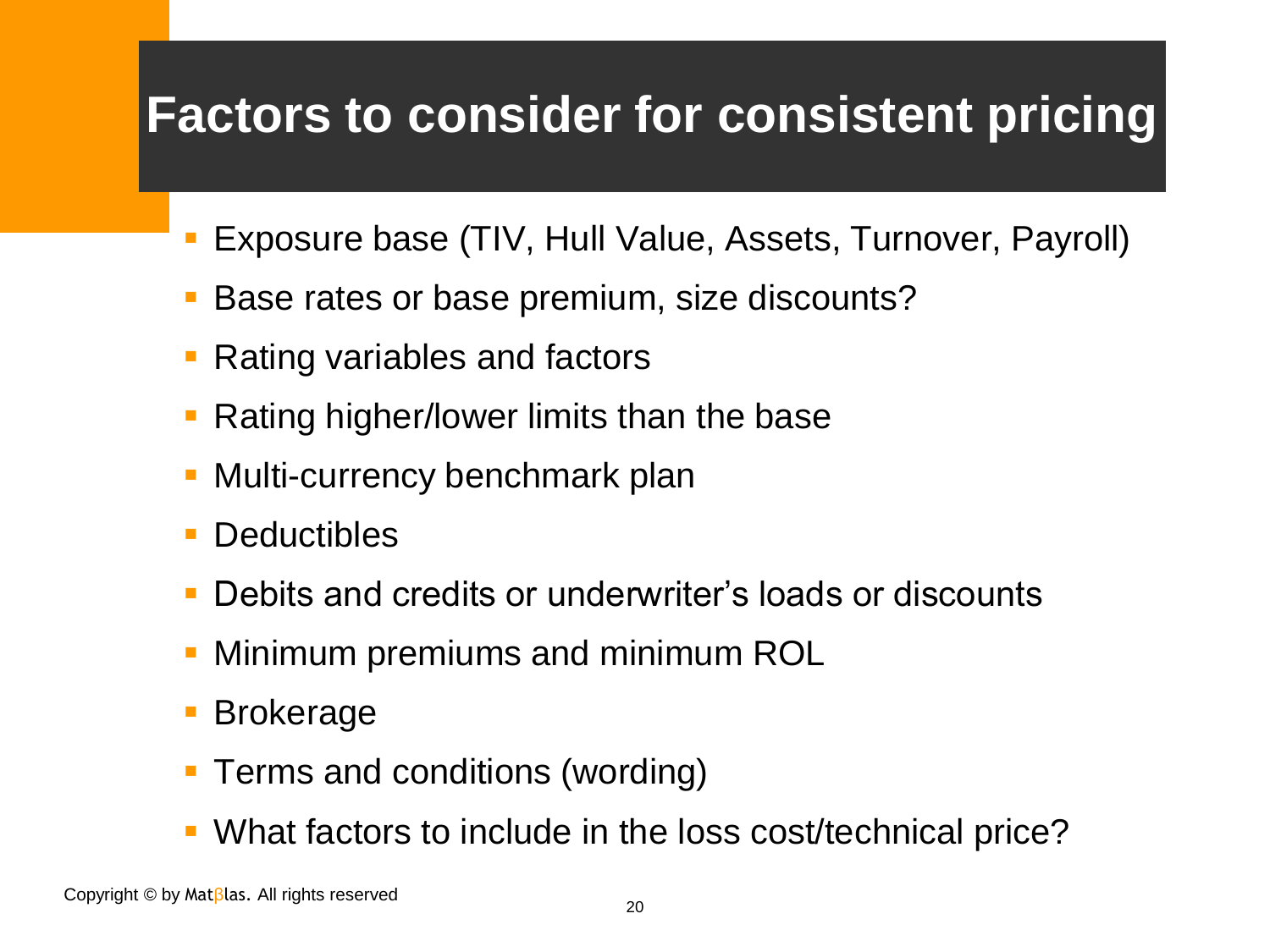# **Factors to consider for consistent pricing**

- Exposure base (TIV, Hull Value, Assets, Turnover, Payroll)
- Base rates or base premium, size discounts?
- Rating variables and factors
- Rating higher/lower limits than the base
- **Nulti-currency benchmark plan**
- **Deductibles**
- Debits and credits or underwriter's loads or discounts
- Minimum premiums and minimum ROL
- Brokerage
- **Terms and conditions (wording)**
- What factors to include in the loss cost/technical price?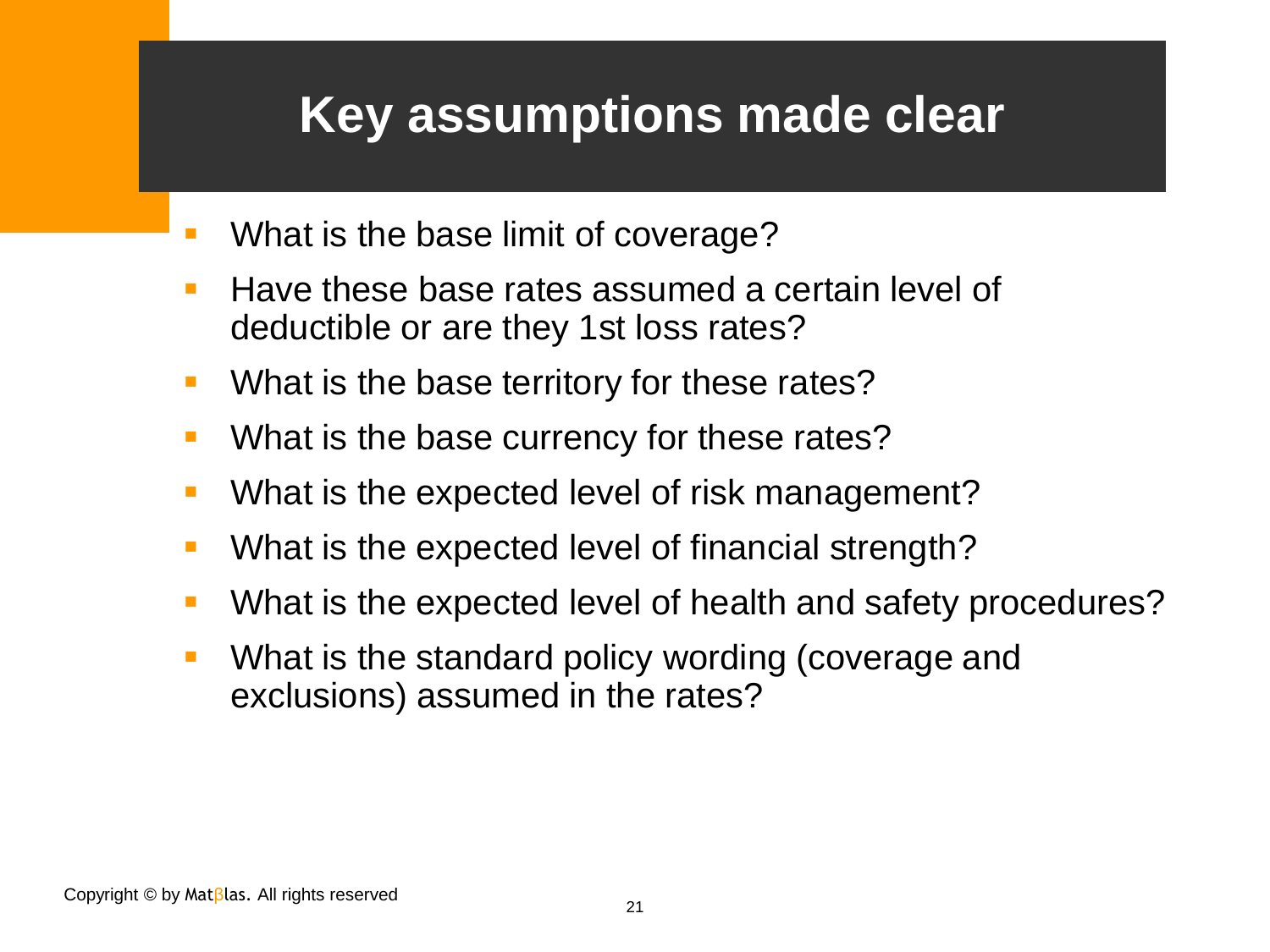## **Key assumptions made clear**

- What is the base limit of coverage?
- Have these base rates assumed a certain level of deductible or are they 1st loss rates?
- **Notable 1 What is the base territory for these rates?**
- What is the base currency for these rates?
- What is the expected level of risk management?
- What is the expected level of financial strength?
- What is the expected level of health and safety procedures?
- What is the standard policy wording (coverage and exclusions) assumed in the rates?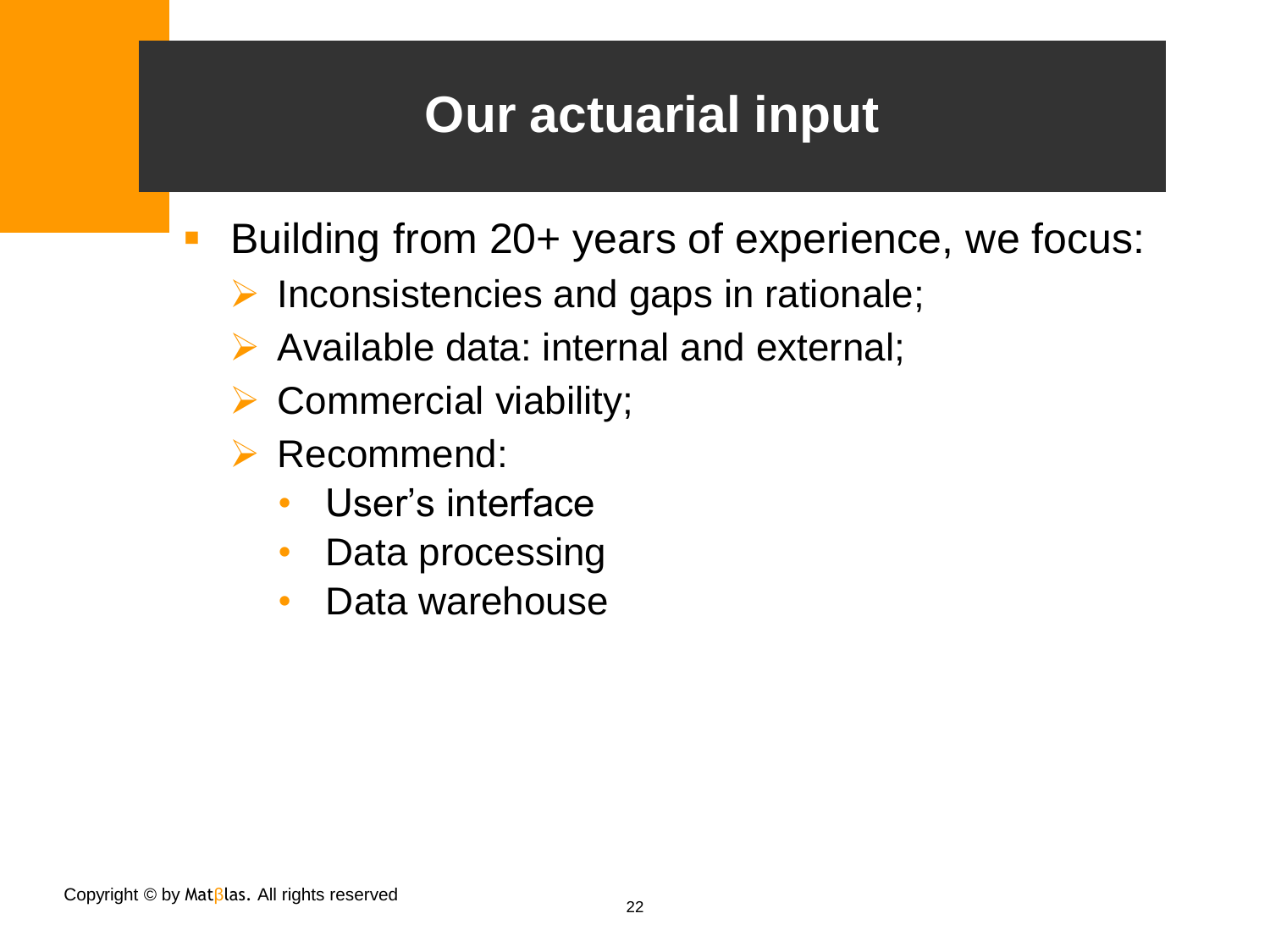# **Our actuarial input**

- Building from 20+ years of experience, we focus:
	- $\triangleright$  Inconsistencies and gaps in rationale;
	- $\triangleright$  Available data: internal and external;
	- Commercial viability;
	- Recommend:
		- User's interface
		- Data processing
		- Data warehouse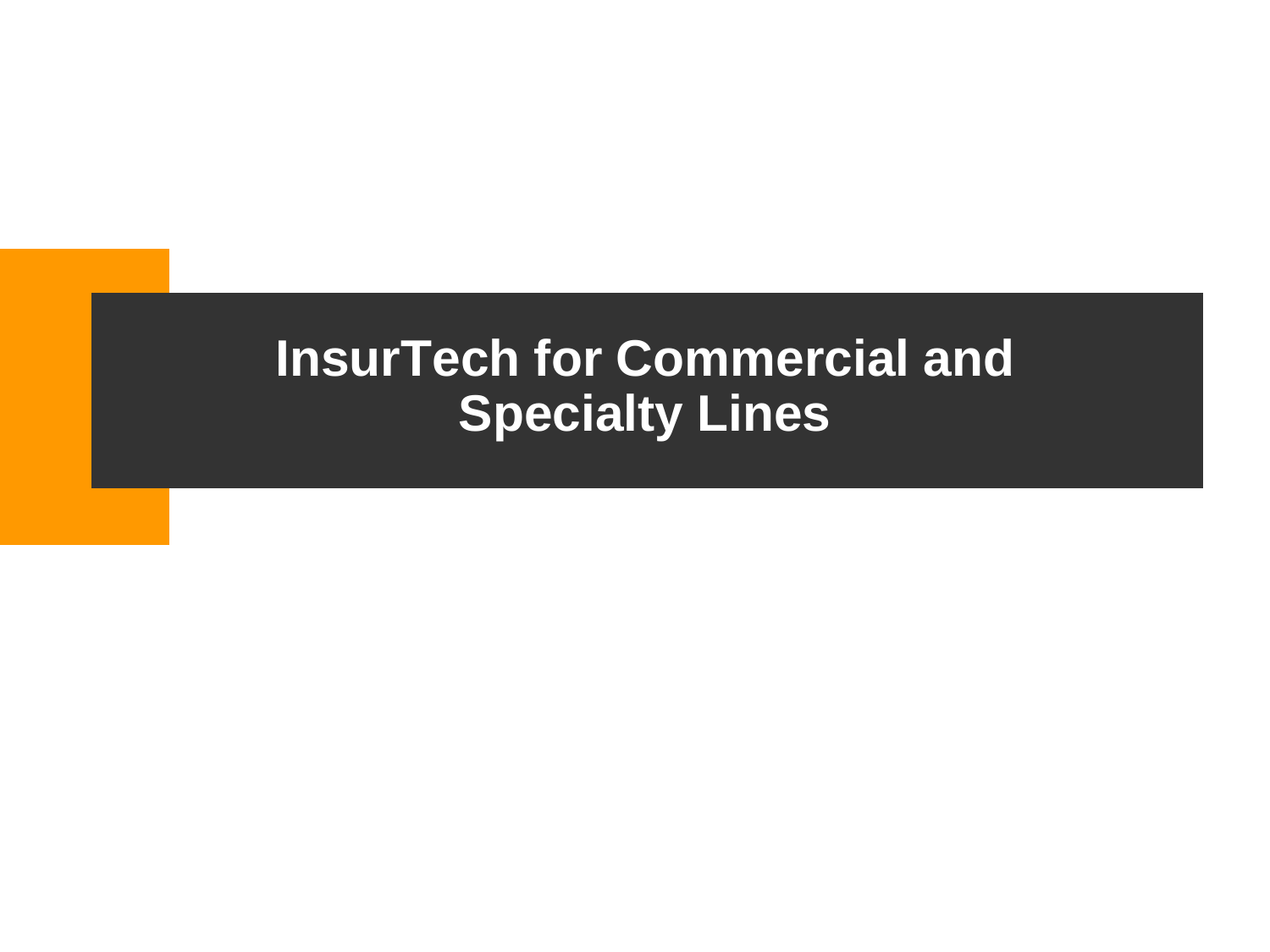#### **InsurTech for Commercial and Specialty Lines**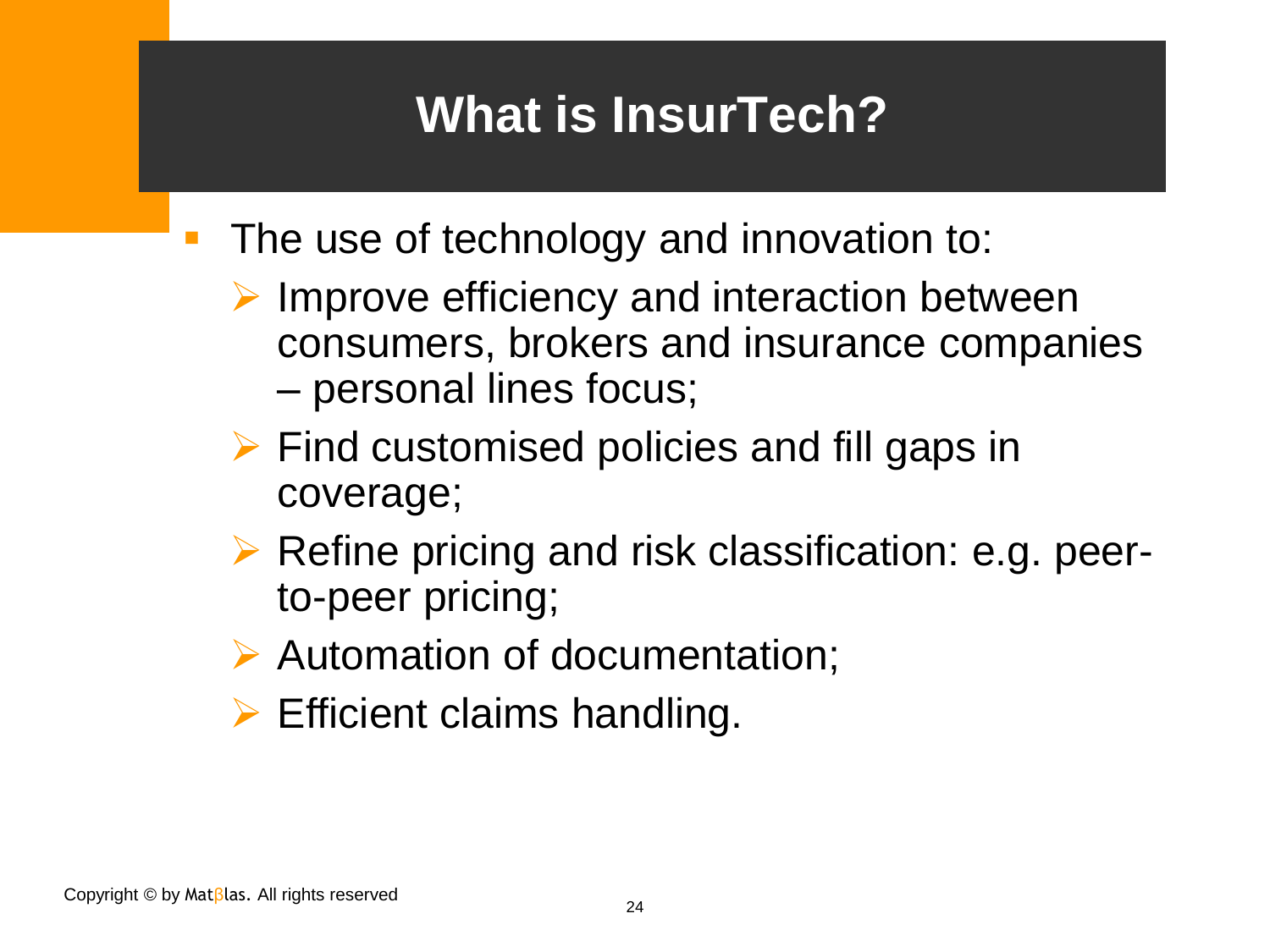# **What is InsurTech?**

- The use of technology and innovation to:
	- $\triangleright$  Improve efficiency and interaction between consumers, brokers and insurance companies – personal lines focus;
	- $\triangleright$  Find customised policies and fill gaps in coverage;
	- $\triangleright$  Refine pricing and risk classification: e.g. peerto-peer pricing;
	- Automation of documentation;
	- $\triangleright$  Efficient claims handling.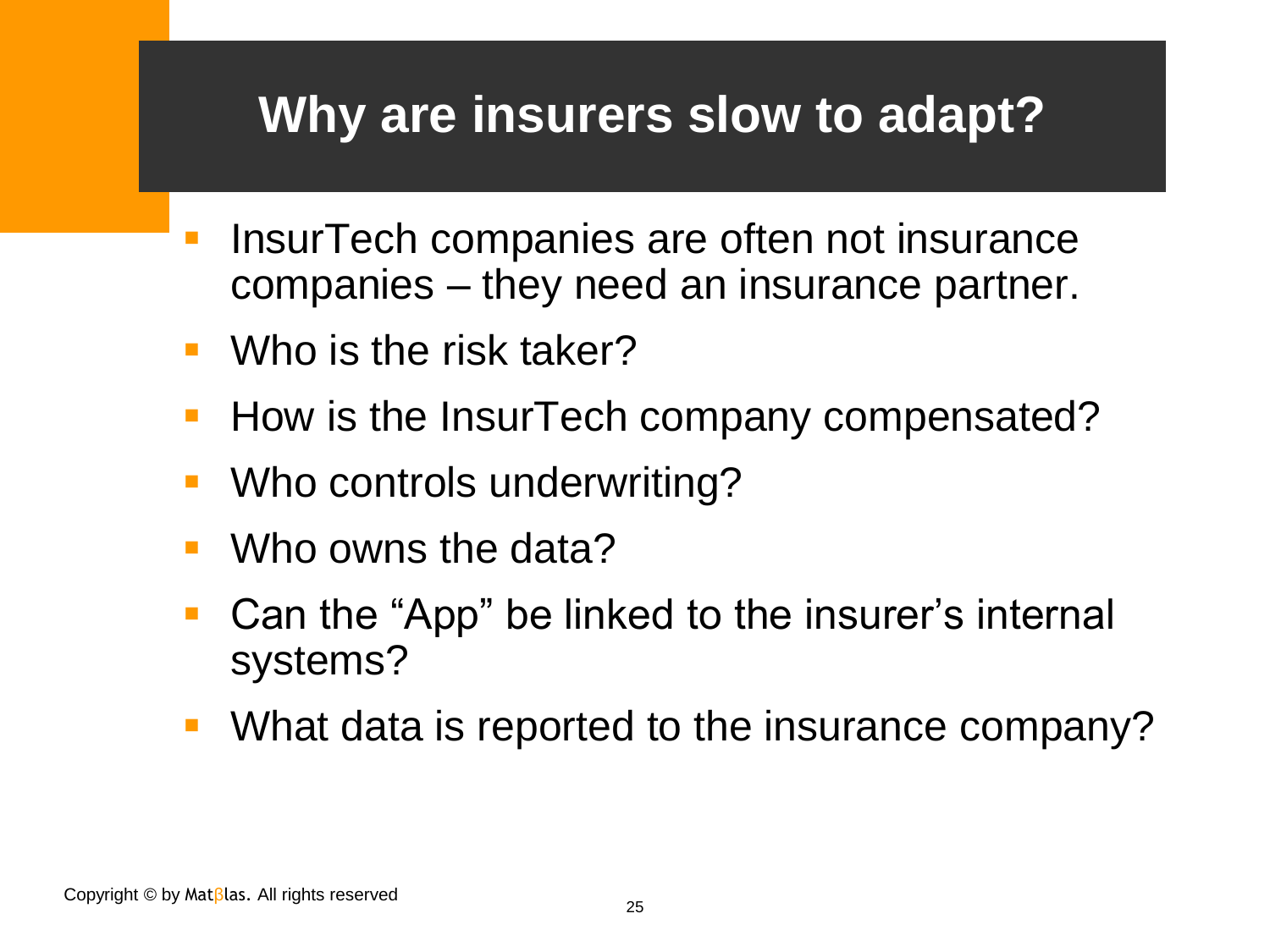#### **Why are insurers slow to adapt?**

- InsurTech companies are often not insurance companies – they need an insurance partner.
- **•** Who is the risk taker?
- How is the InsurTech company compensated?
- Who controls underwriting?
- Who owns the data?
- Can the "App" be linked to the insurer's internal systems?
- What data is reported to the insurance company?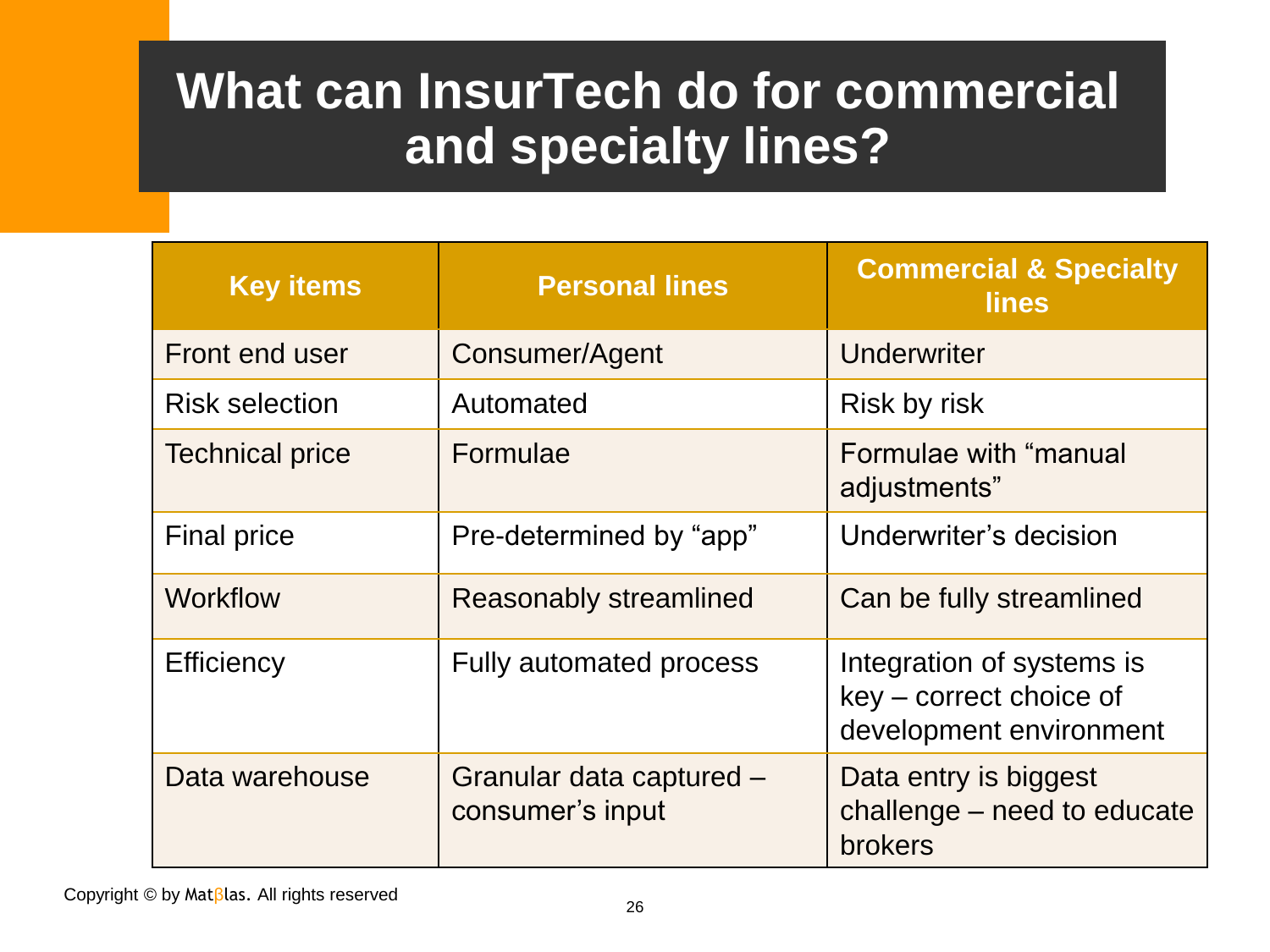## **What can InsurTech do for commercial and specialty lines?**

| <b>Key items</b>       | <b>Personal lines</b>                        | <b>Commercial &amp; Specialty</b><br><b>lines</b>                               |
|------------------------|----------------------------------------------|---------------------------------------------------------------------------------|
| Front end user         | Consumer/Agent                               | Underwriter                                                                     |
| <b>Risk selection</b>  | Automated                                    | Risk by risk                                                                    |
| <b>Technical price</b> | Formulae                                     | Formulae with "manual<br>adjustments"                                           |
| <b>Final price</b>     | Pre-determined by "app"                      | Underwriter's decision                                                          |
| <b>Workflow</b>        | <b>Reasonably streamlined</b>                | Can be fully streamlined                                                        |
| <b>Efficiency</b>      | <b>Fully automated process</b>               | Integration of systems is<br>key – correct choice of<br>development environment |
| Data warehouse         | Granular data captured -<br>consumer's input | Data entry is biggest<br>challenge – need to educate<br><b>brokers</b>          |

Copyright © by Matβlas. All rights reserved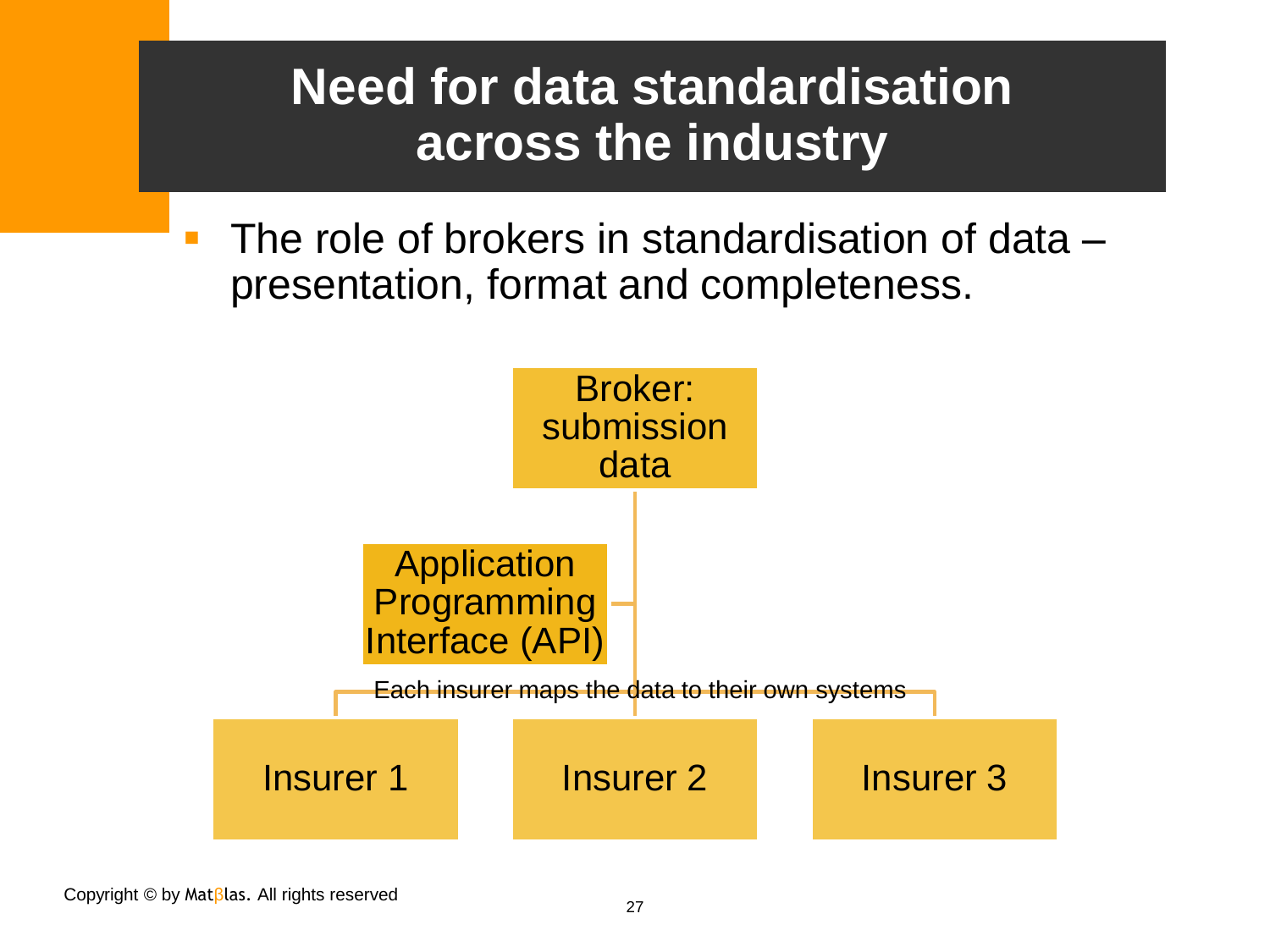## **Need for data standardisation across the industry**

 The role of brokers in standardisation of data – presentation, format and completeness.

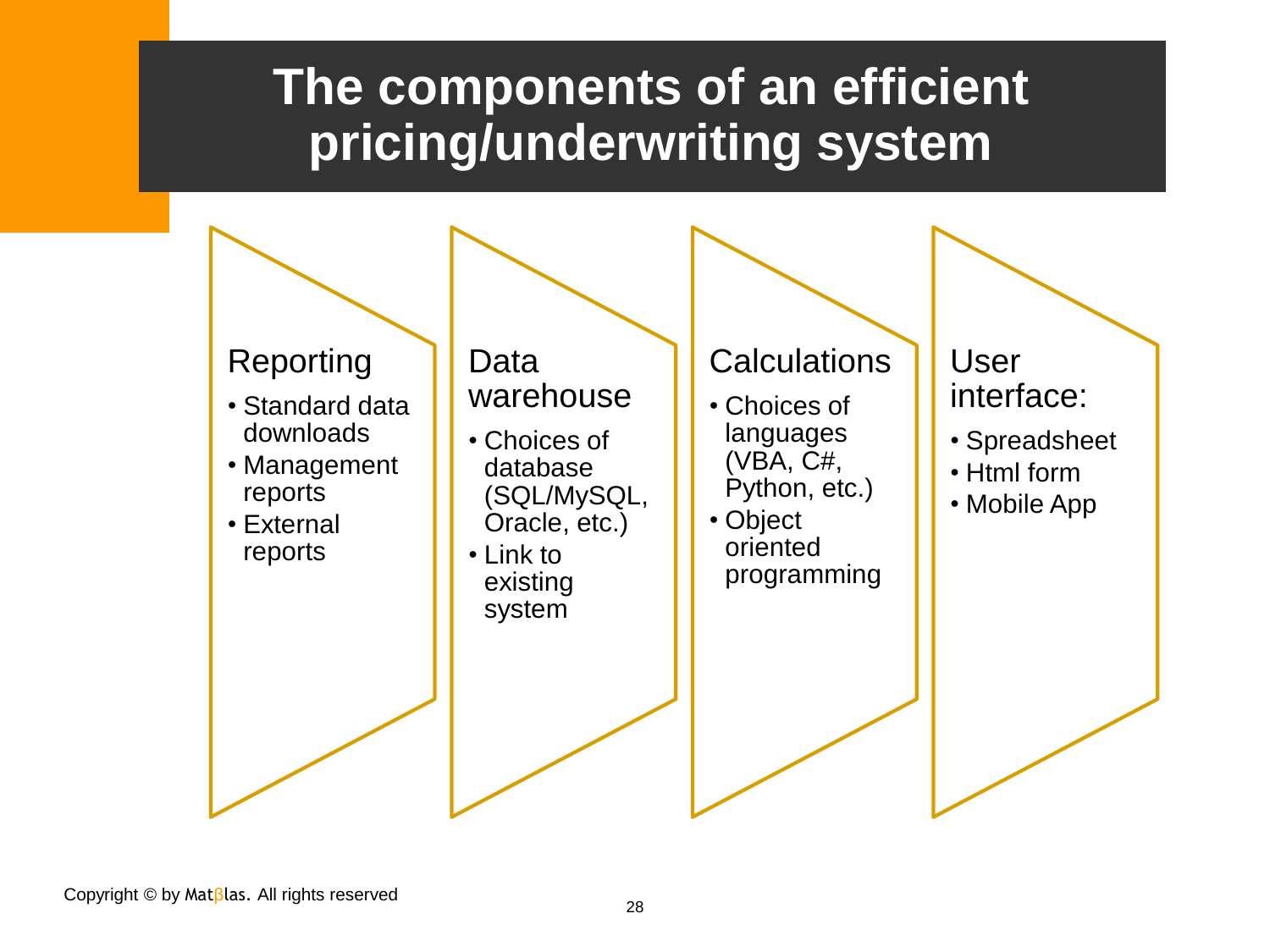#### **The components of an efficient pricing/underwriting system**

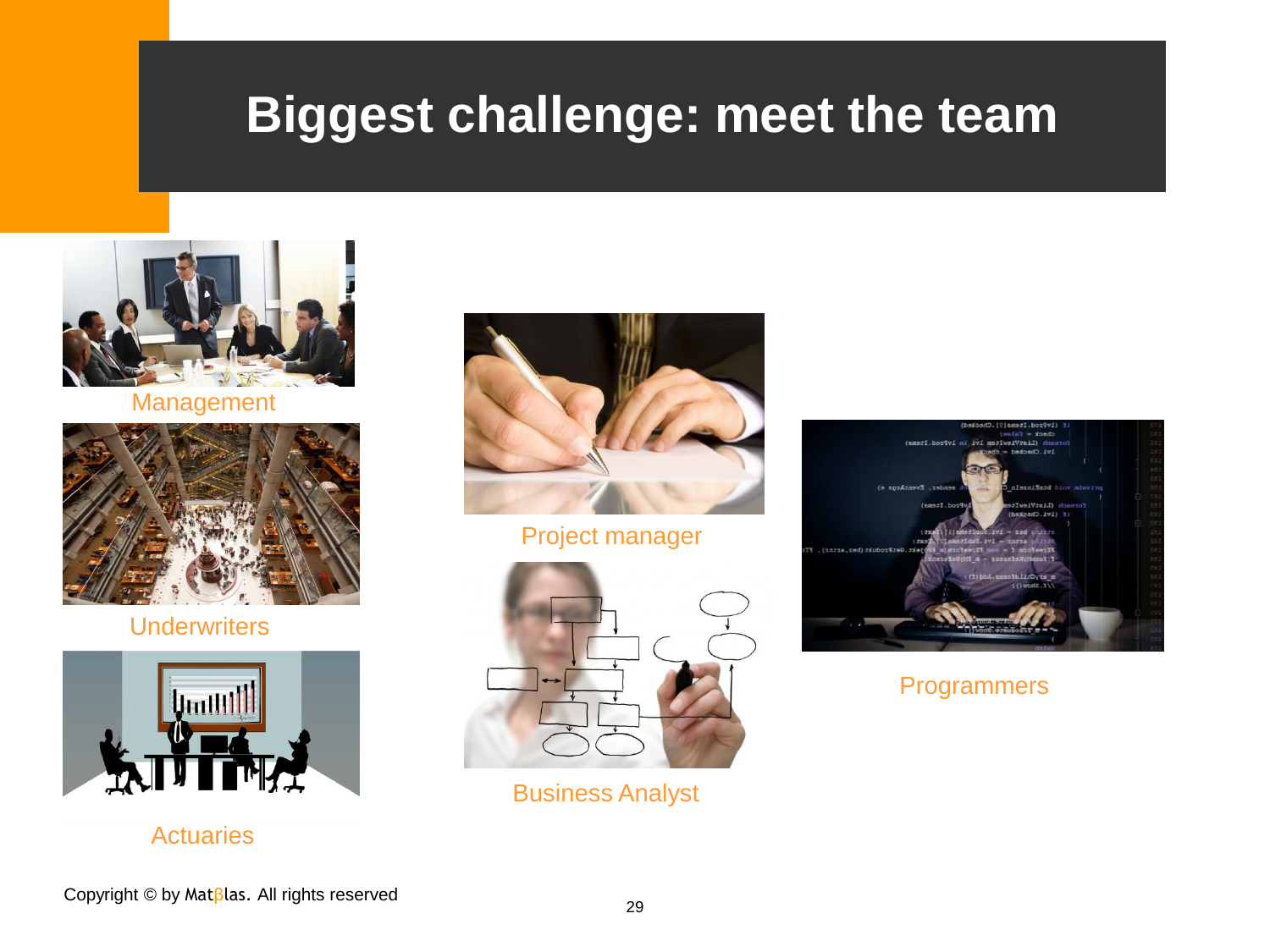#### **Biggest challenge: meet the team**



Management



#### **Underwriters**



**Actuaries** 



Project manager



Business Analyst



Programmers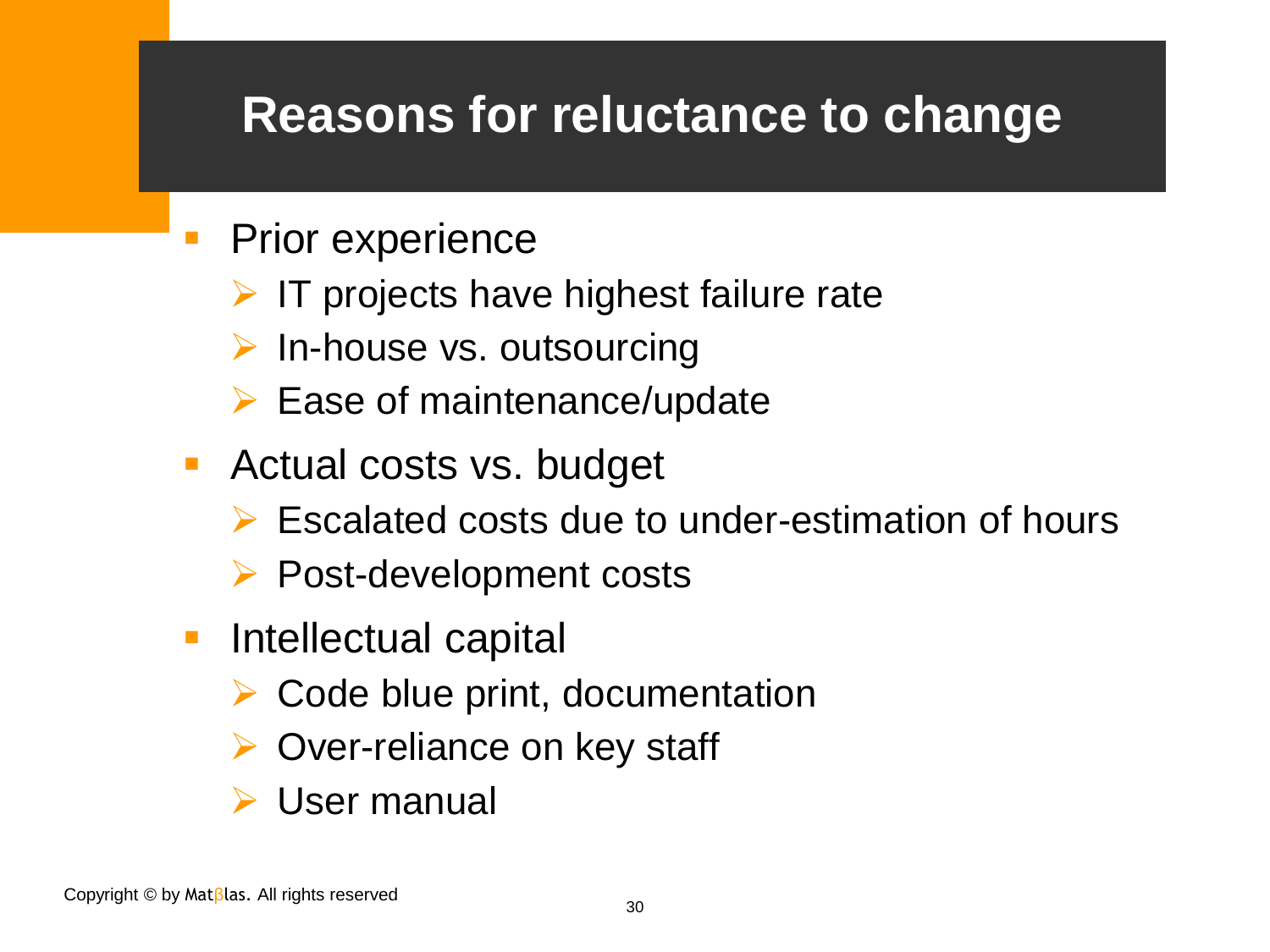#### **Reasons for reluctance to change**

- Prior experience
	- $\triangleright$  IT projects have highest failure rate
	- $\triangleright$  In-house vs. outsourcing
	- $\triangleright$  Ease of maintenance/update
- **Actual costs vs. budget** 
	- $\triangleright$  Escalated costs due to under-estimation of hours
	- $\triangleright$  Post-development costs
- **Intellectual capital** 
	- $\triangleright$  Code blue print, documentation
	- **▶ Over-reliance on key staff**
	- User manual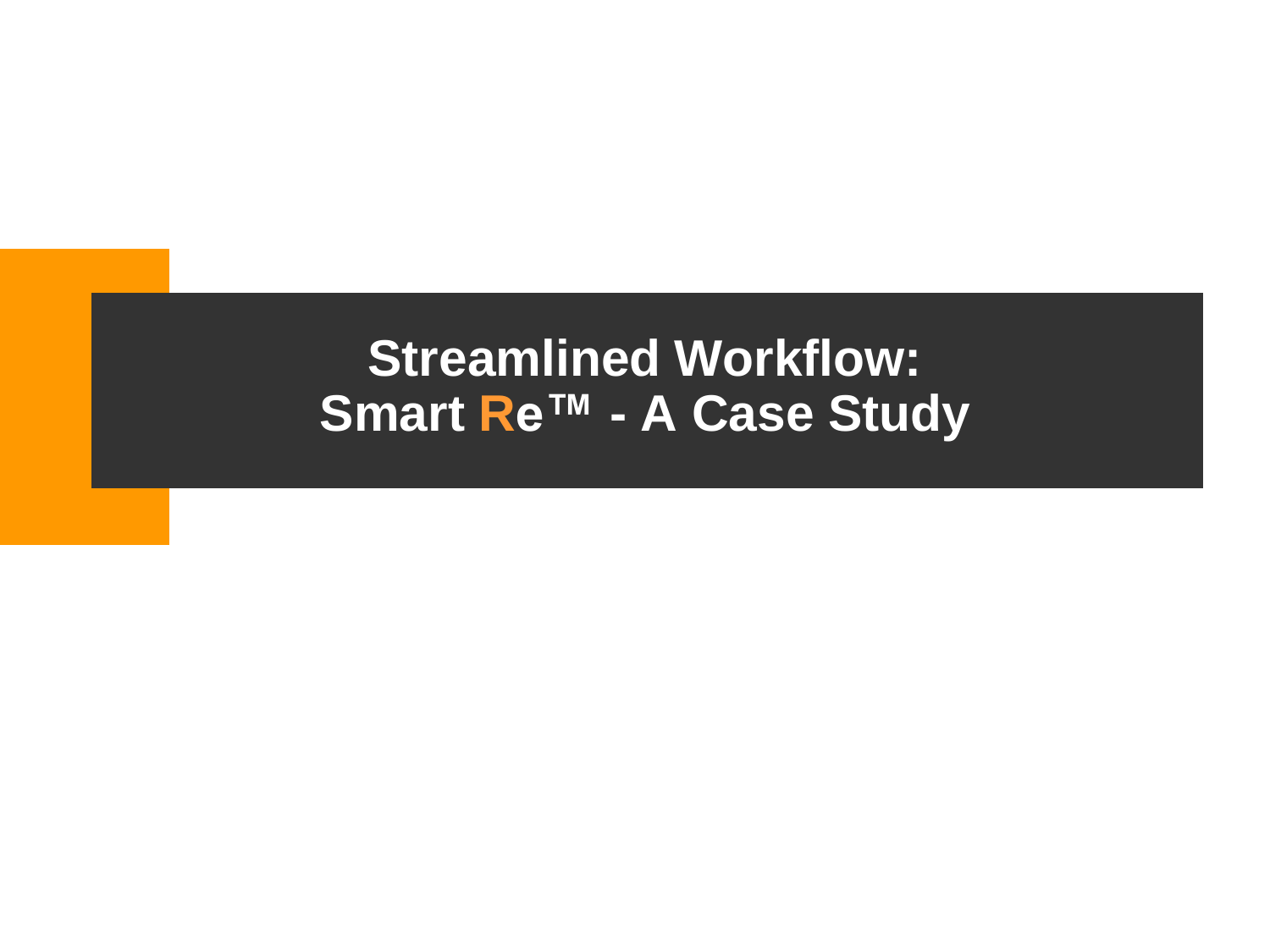#### **Streamlined Workflow: Smart Re™ - A Case Study**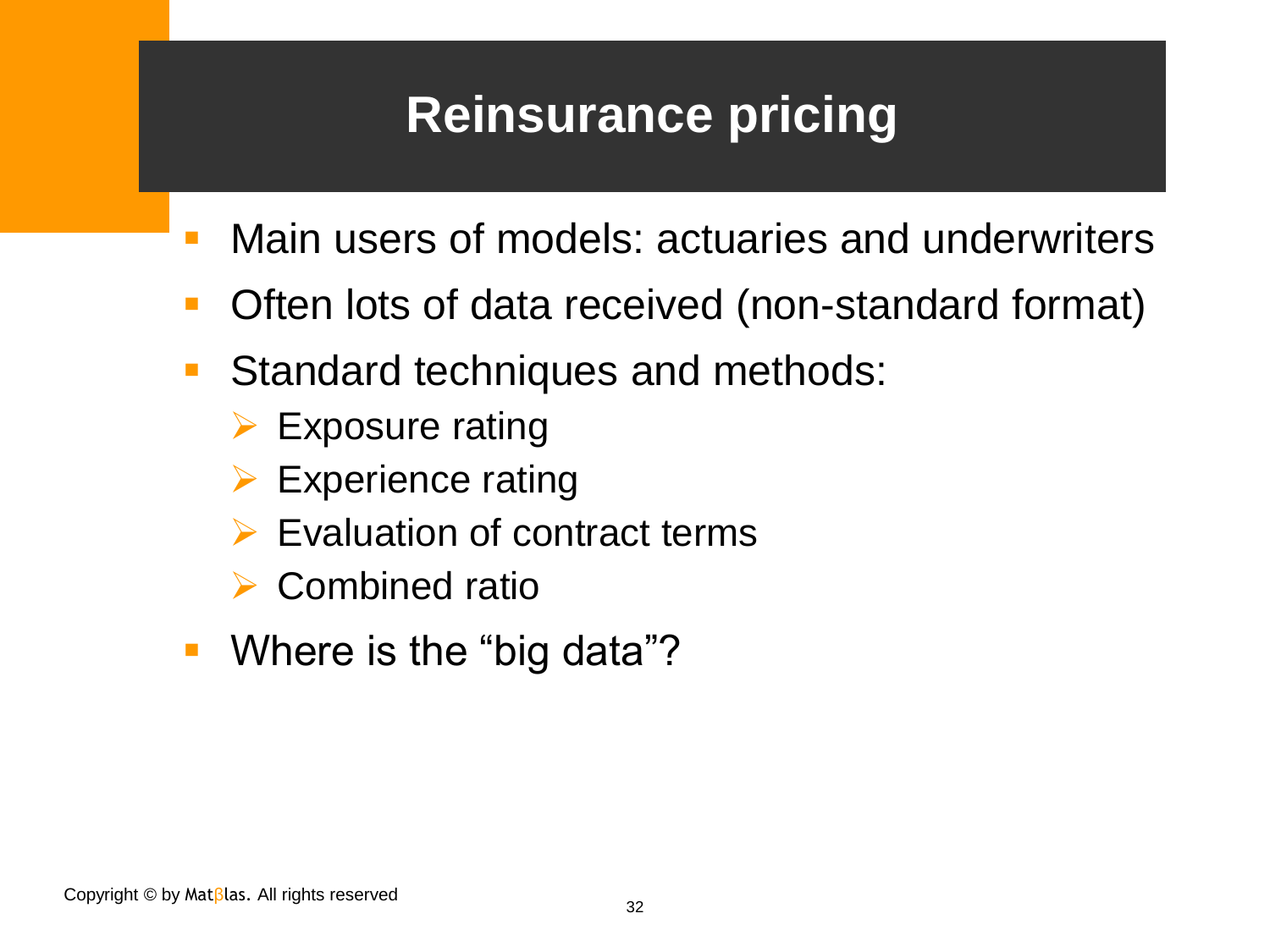# **Reinsurance pricing**

- Main users of models: actuaries and underwriters
- Often lots of data received (non-standard format)
- Standard techniques and methods:
	- $\triangleright$  Exposure rating
	- $\triangleright$  Experience rating
	- $\triangleright$  Evaluation of contract terms
	- **► Combined ratio**
- **Where is the "big data"?**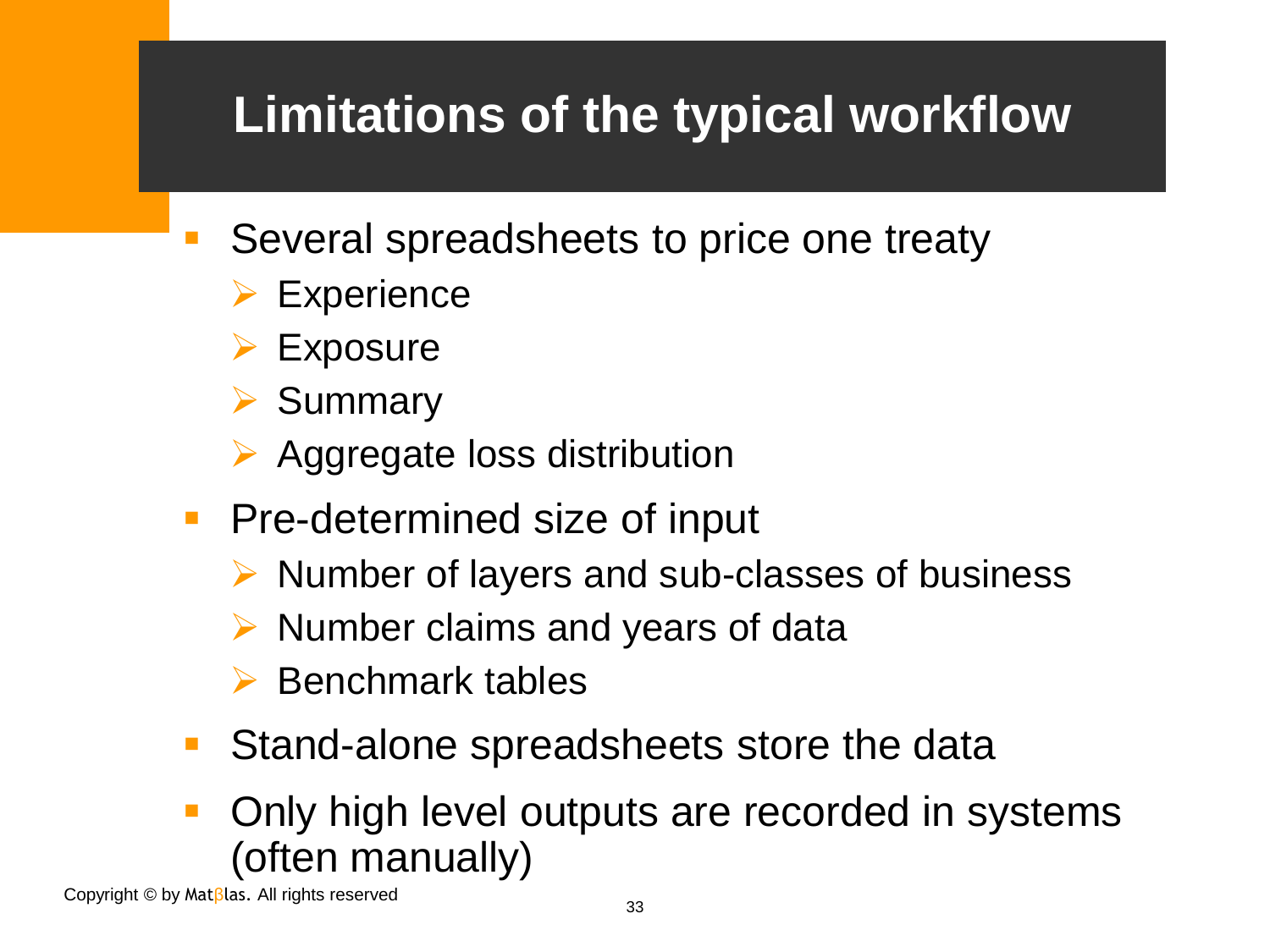# **Limitations of the typical workflow**

- Several spreadsheets to price one treaty
	- **► Experience**
	- **► Exposure**
	- $\triangleright$  Summary
	- **► Aggregate loss distribution**
- **Pre-determined size of input** 
	- $\triangleright$  Number of layers and sub-classes of business
	- $\triangleright$  Number claims and years of data
	- $\triangleright$  Benchmark tables
- **Stand-alone spreadsheets store the data**
- Only high level outputs are recorded in systems (often manually)

Copyright © by Matβlas. All rights reserved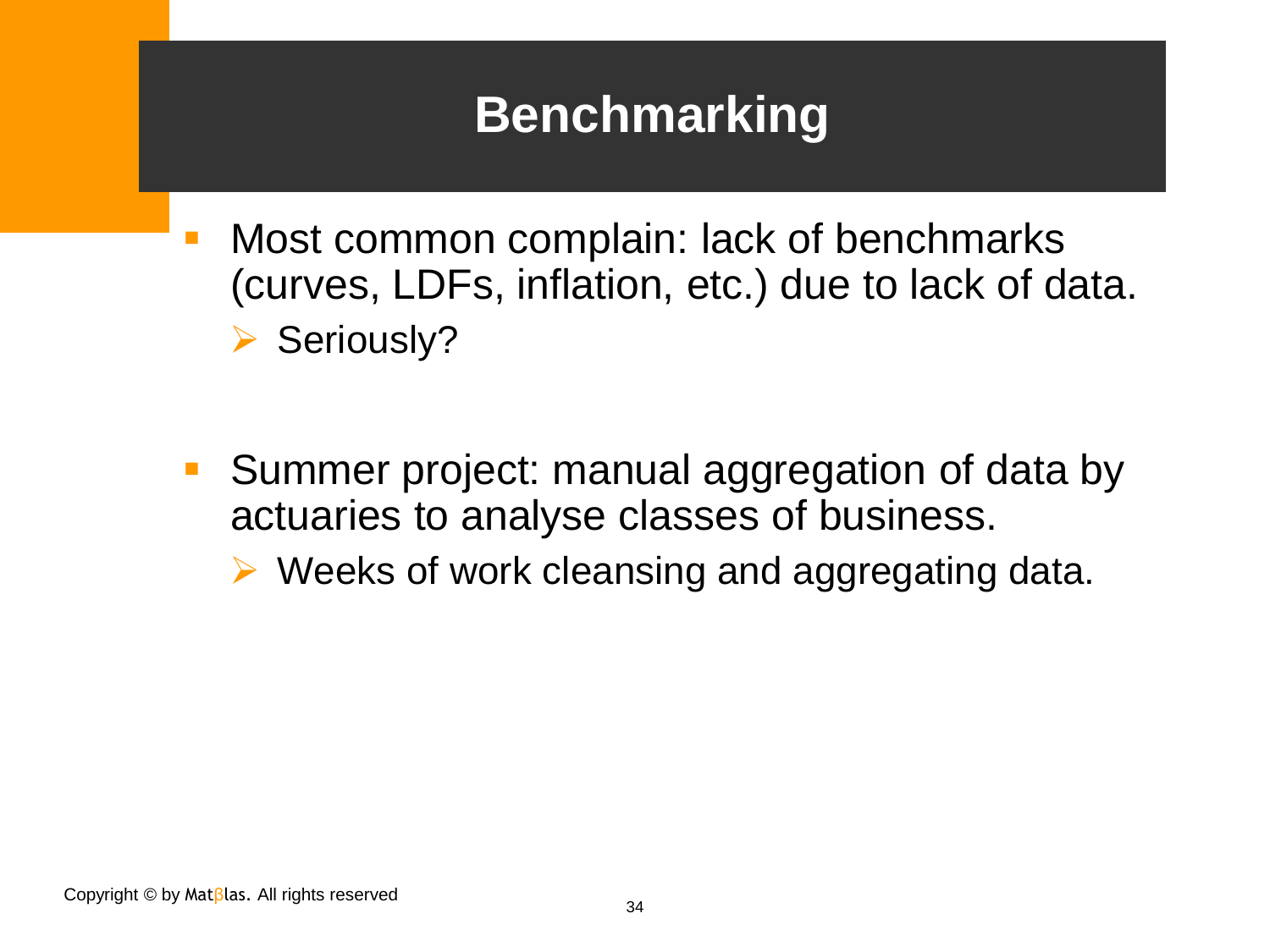# **Benchmarking**

- Most common complain: lack of benchmarks (curves, LDFs, inflation, etc.) due to lack of data. ▶ Seriously?
- Summer project: manual aggregation of data by actuaries to analyse classes of business.
	- $\triangleright$  Weeks of work cleansing and aggregating data.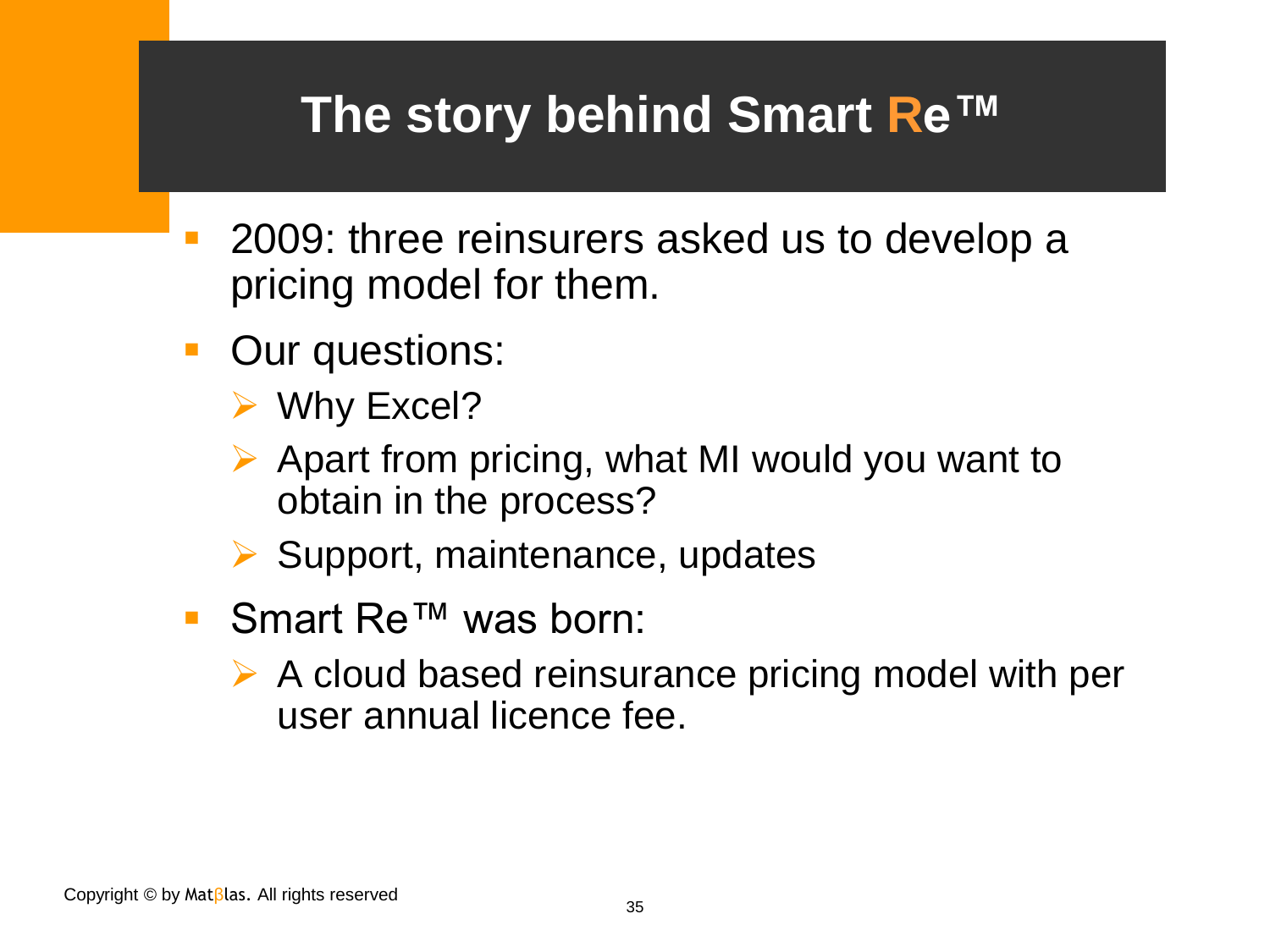## **The story behind Smart Re™**

- 2009: three reinsurers asked us to develop a pricing model for them.
- **Our questions:** 
	- $\triangleright$  Why Excel?
	- $\triangleright$  Apart from pricing, what MI would you want to obtain in the process?
	- $\triangleright$  Support, maintenance, updates
- Smart Re™ was born:
	- $\triangleright$  A cloud based reinsurance pricing model with per user annual licence fee.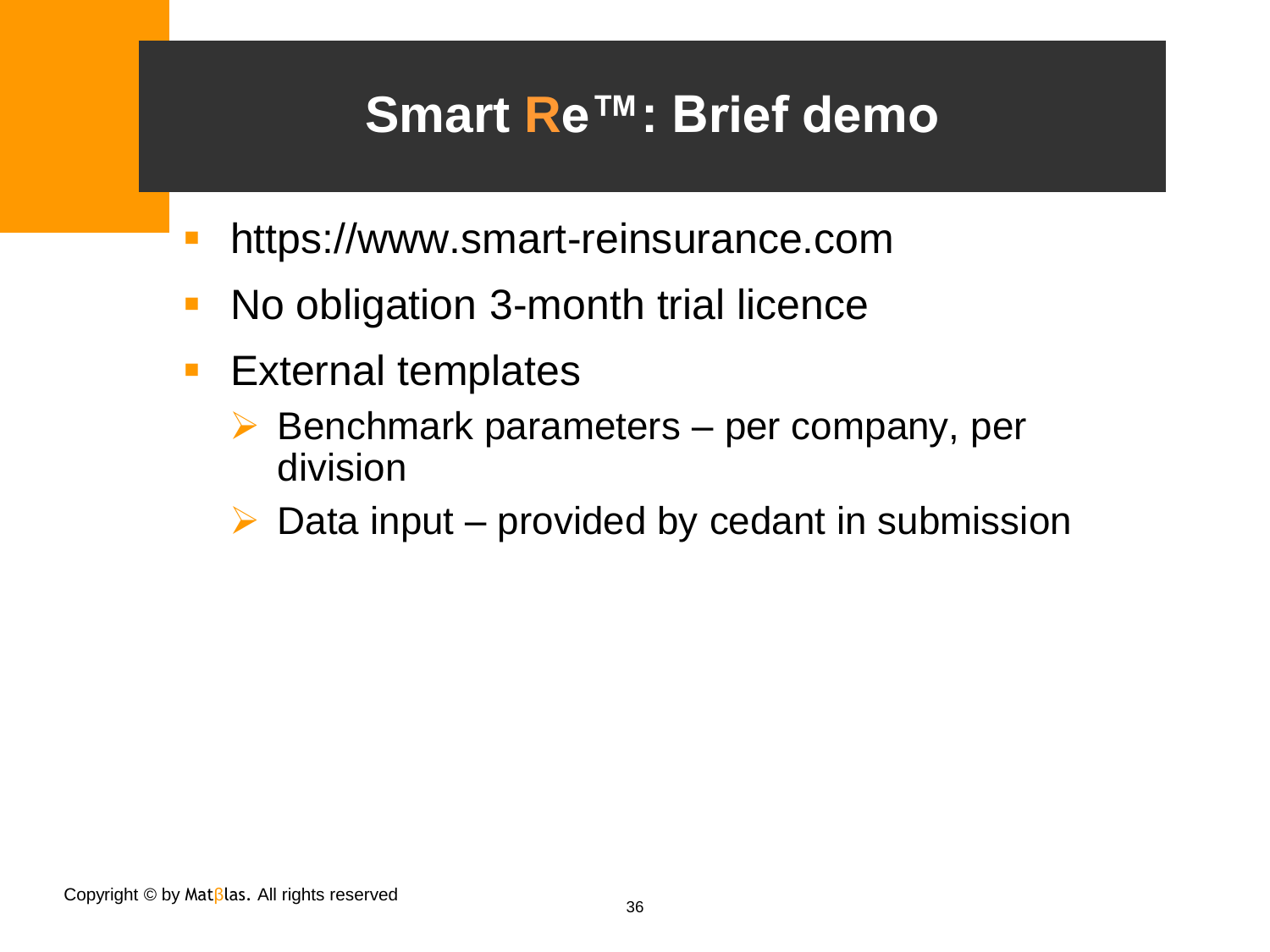## **Smart Re™: Brief demo**

- https://www.smart-reinsurance.com
- No obligation 3-month trial licence
- **External templates** 
	- $\triangleright$  Benchmark parameters per company, per division
	- $\triangleright$  Data input provided by cedant in submission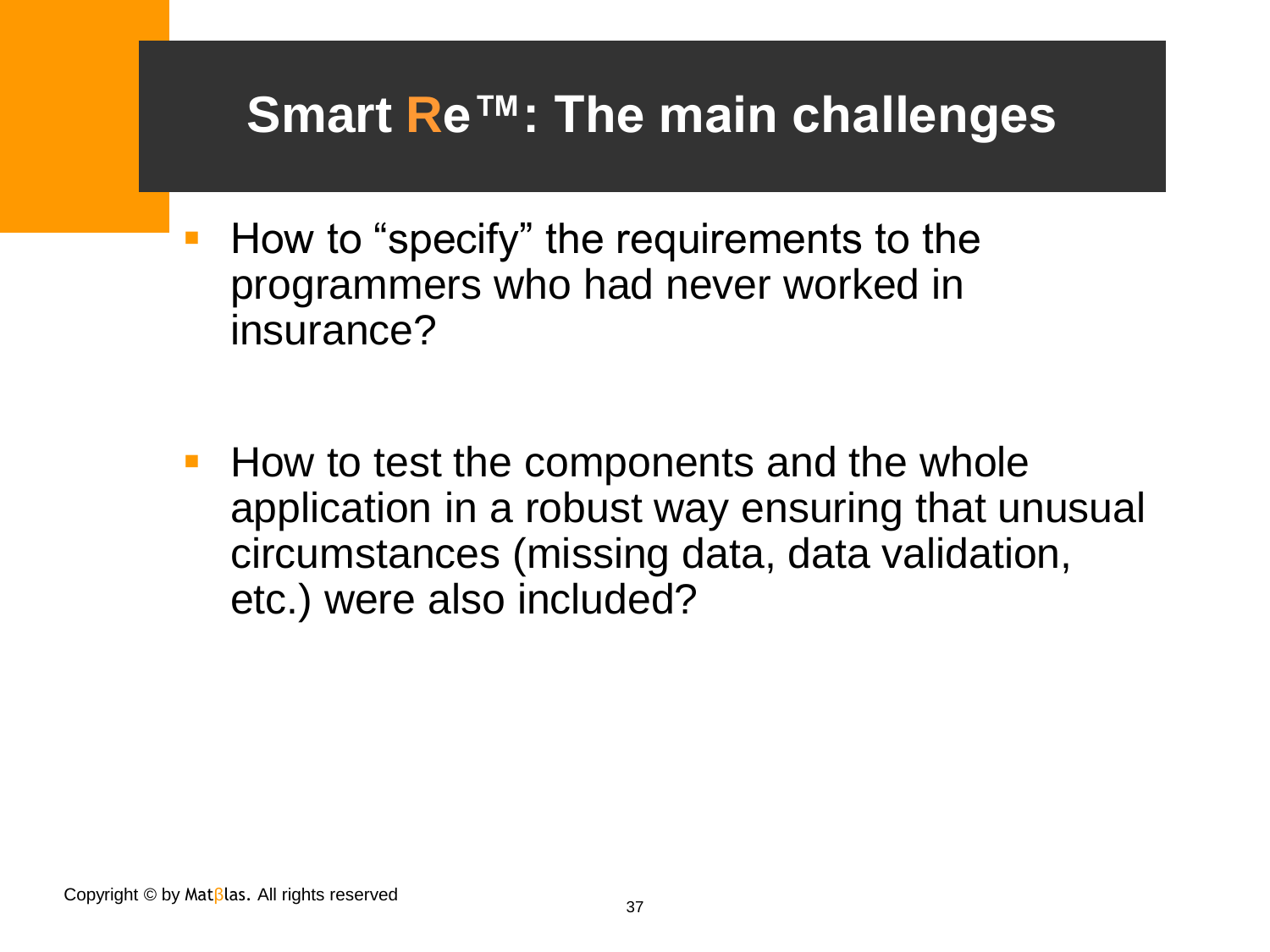#### **Smart Re™: The main challenges**

- How to "specify" the requirements to the programmers who had never worked in insurance?
- How to test the components and the whole application in a robust way ensuring that unusual circumstances (missing data, data validation, etc.) were also included?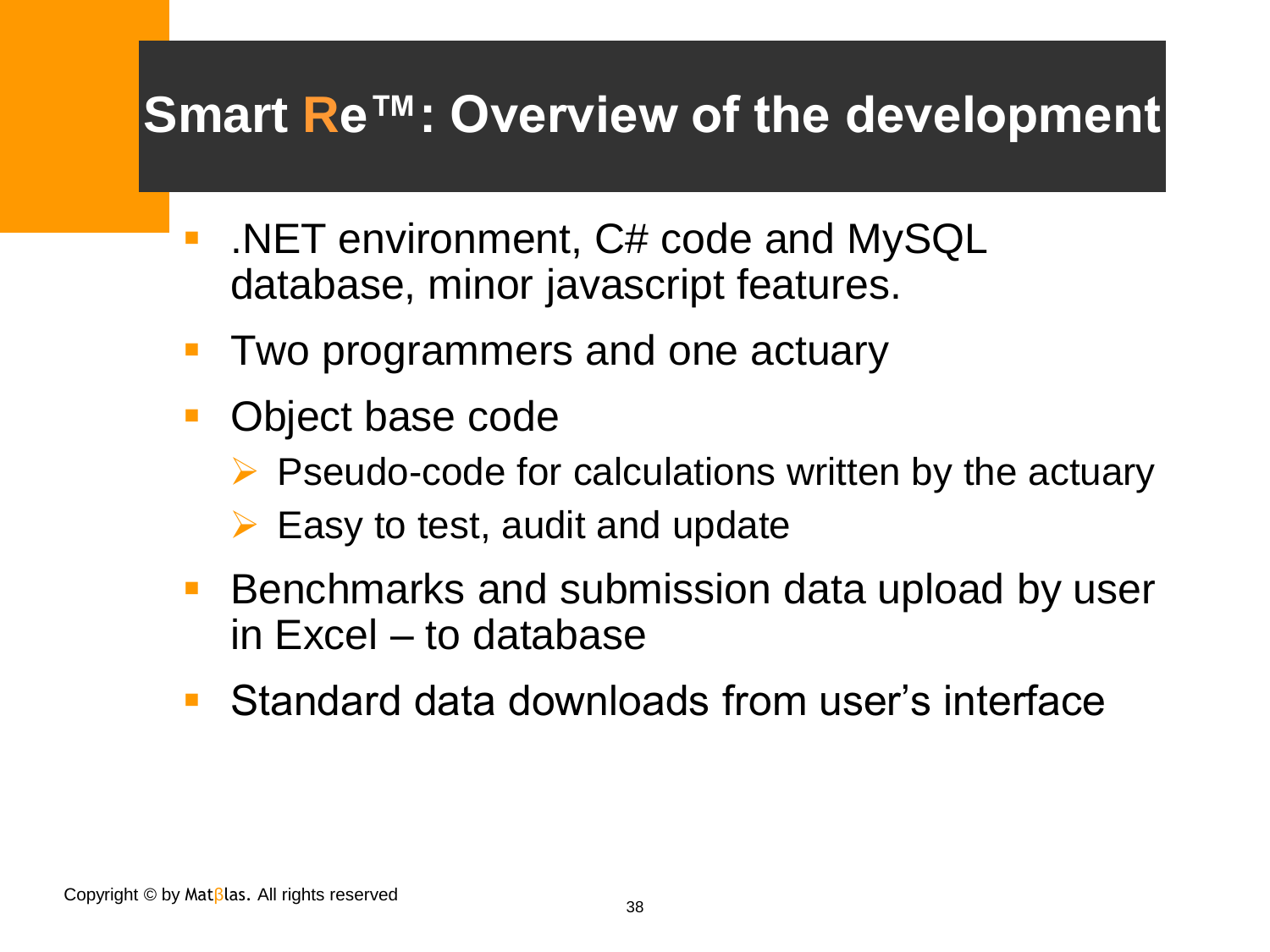## **Smart Re™: Overview of the development**

- **.NET environment, C# code and MySQL** database, minor javascript features.
- Two programmers and one actuary
- Object base code
	- $\triangleright$  Pseudo-code for calculations written by the actuary
	- $\triangleright$  Easy to test, audit and update
- Benchmarks and submission data upload by user in Excel – to database
- Standard data downloads from user's interface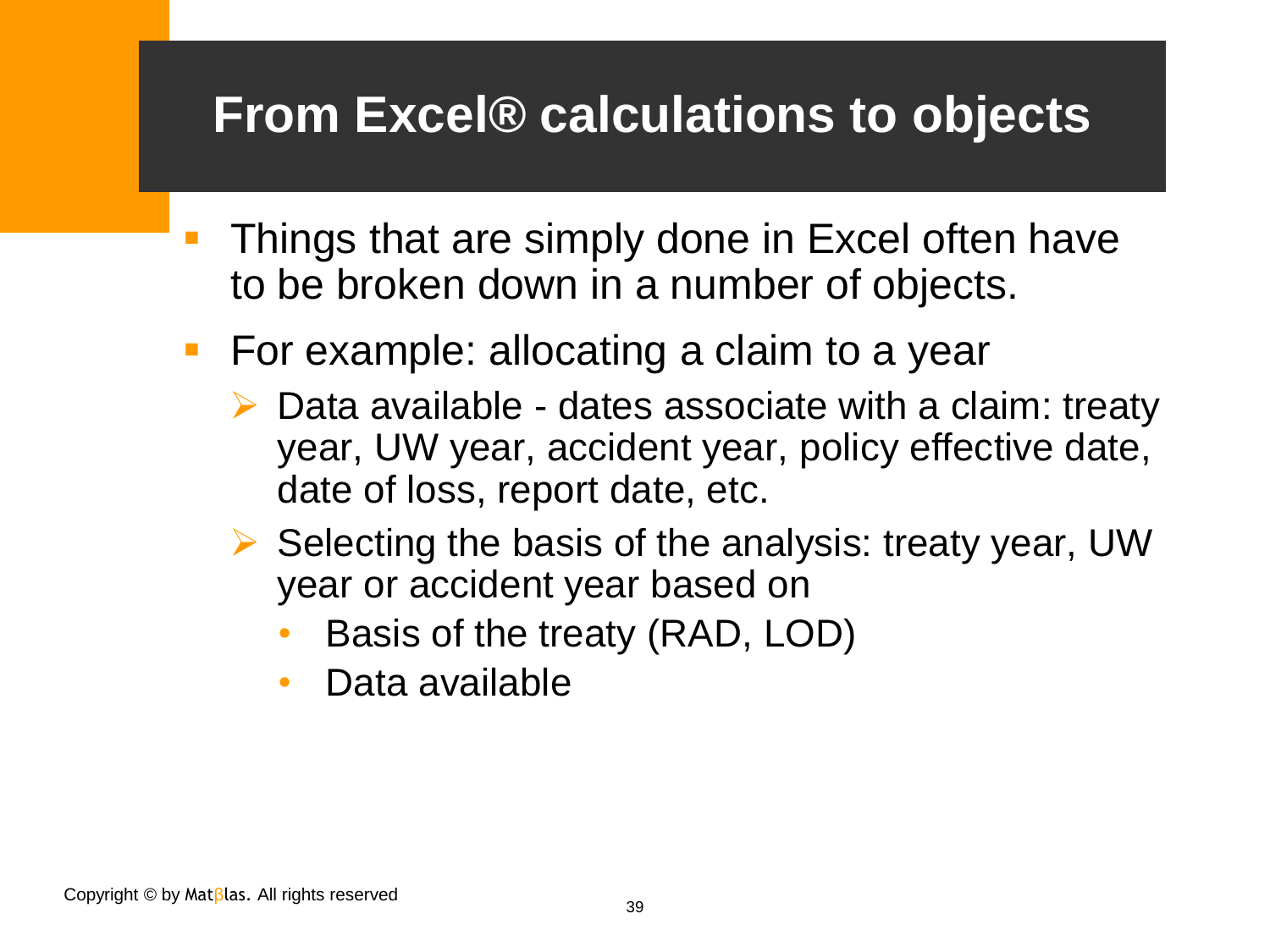## **From Excel® calculations to objects**

- Things that are simply done in Excel often have to be broken down in a number of objects.
- **For example: allocating a claim to a year** 
	- $\triangleright$  Data available dates associate with a claim: treaty year, UW year, accident year, policy effective date, date of loss, report date, etc.
	- $\triangleright$  Selecting the basis of the analysis: treaty year, UW year or accident year based on
		- Basis of the treaty (RAD, LOD)
		- Data available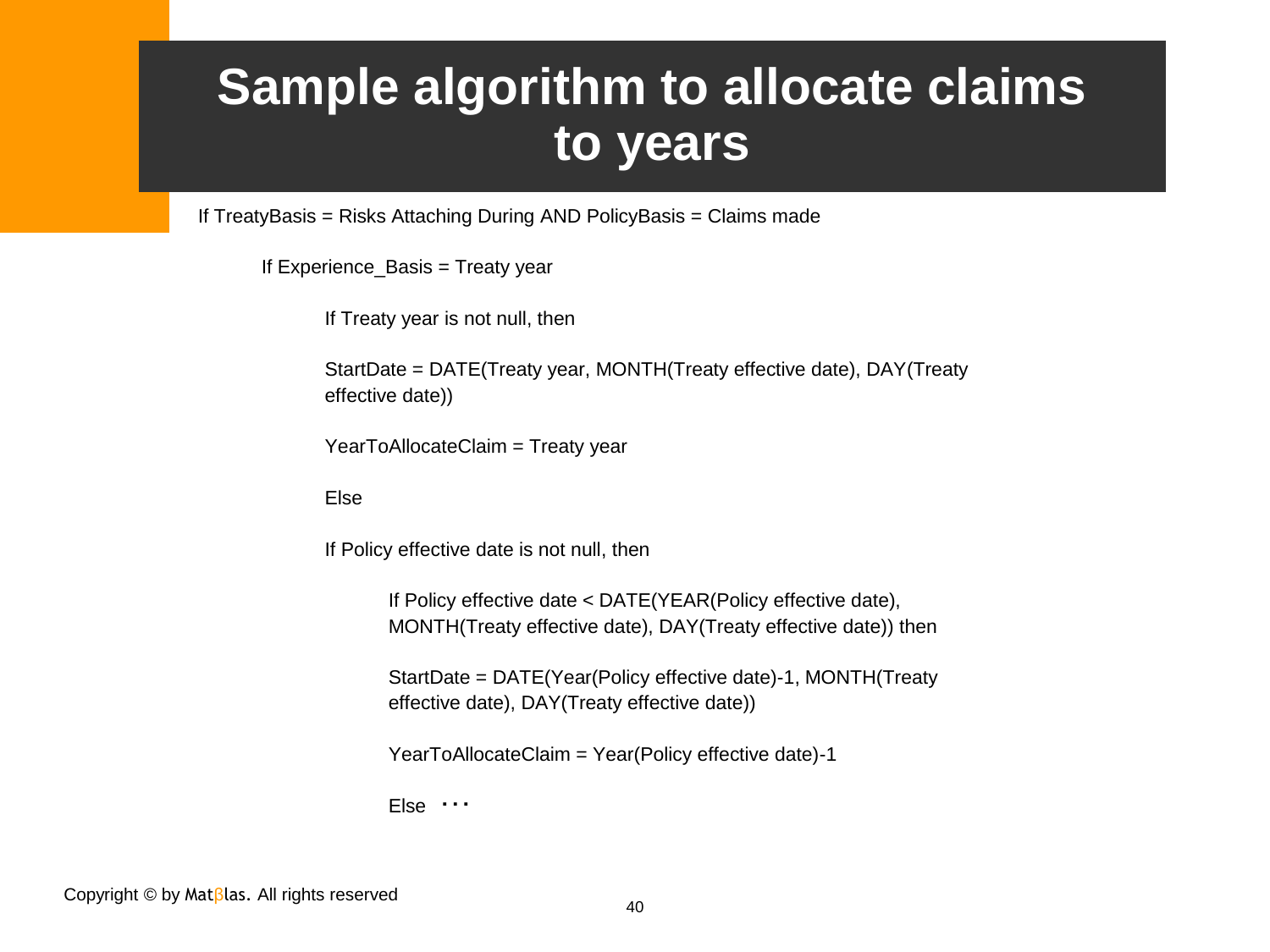#### **Sample algorithm to allocate claims to years**

If TreatyBasis = Risks Attaching During AND PolicyBasis = Claims made

If Experience Basis = Treaty year

If Treaty year is not null, then

StartDate = DATE(Treaty year, MONTH(Treaty effective date), DAY(Treaty effective date))

YearToAllocateClaim = Treaty year

Else

If Policy effective date is not null, then

If Policy effective date < DATE(YEAR(Policy effective date), MONTH(Treaty effective date), DAY(Treaty effective date)) then

StartDate = DATE(Year(Policy effective date)-1, MONTH(Treaty effective date), DAY(Treaty effective date))

YearToAllocateClaim = Year(Policy effective date)-1

… Else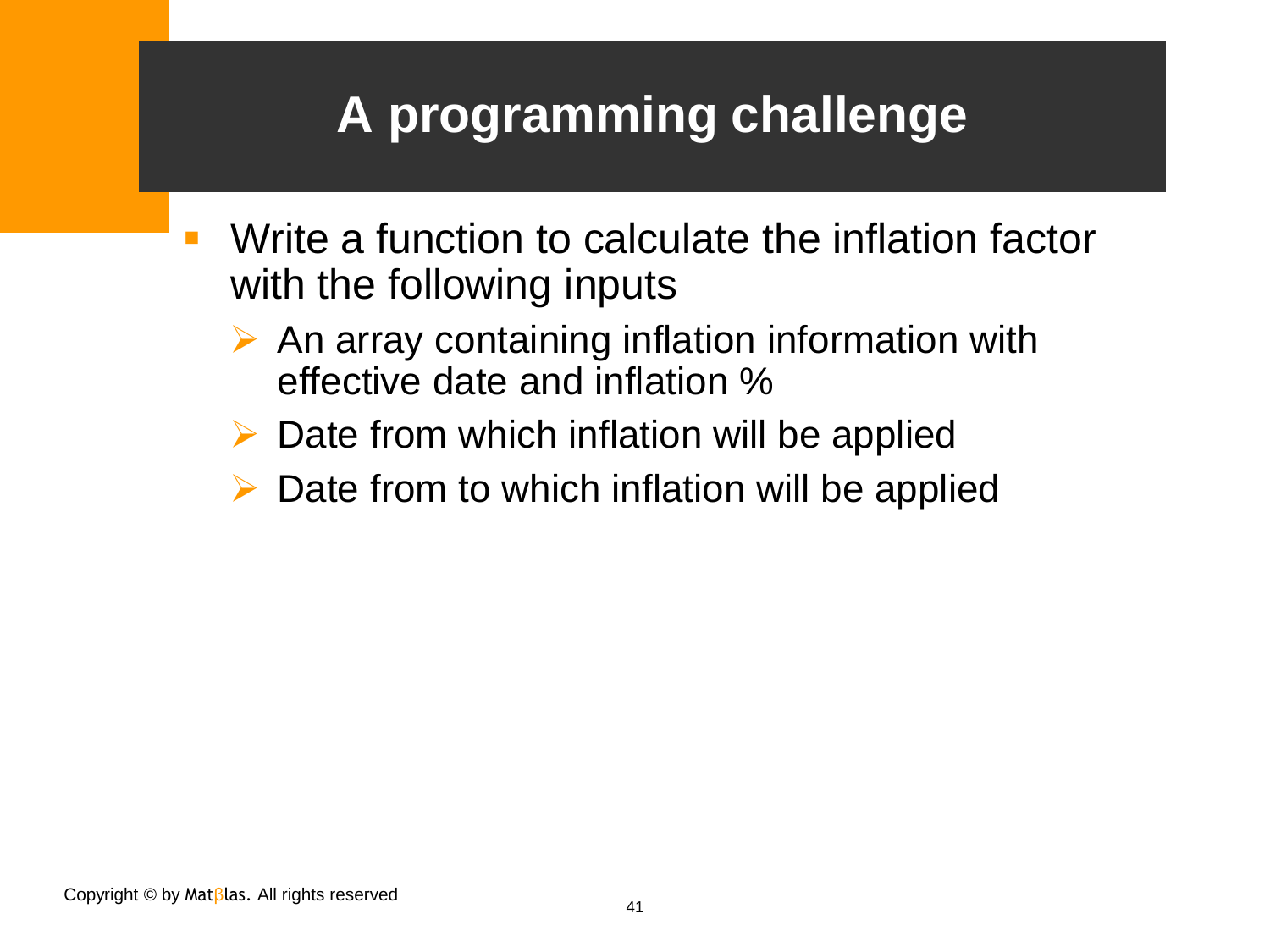# **A programming challenge**

- **Write a function to calculate the inflation factor** with the following inputs
	- $\triangleright$  An array containing inflation information with effective date and inflation %
	- $\triangleright$  Date from which inflation will be applied
	- Date from to which inflation will be applied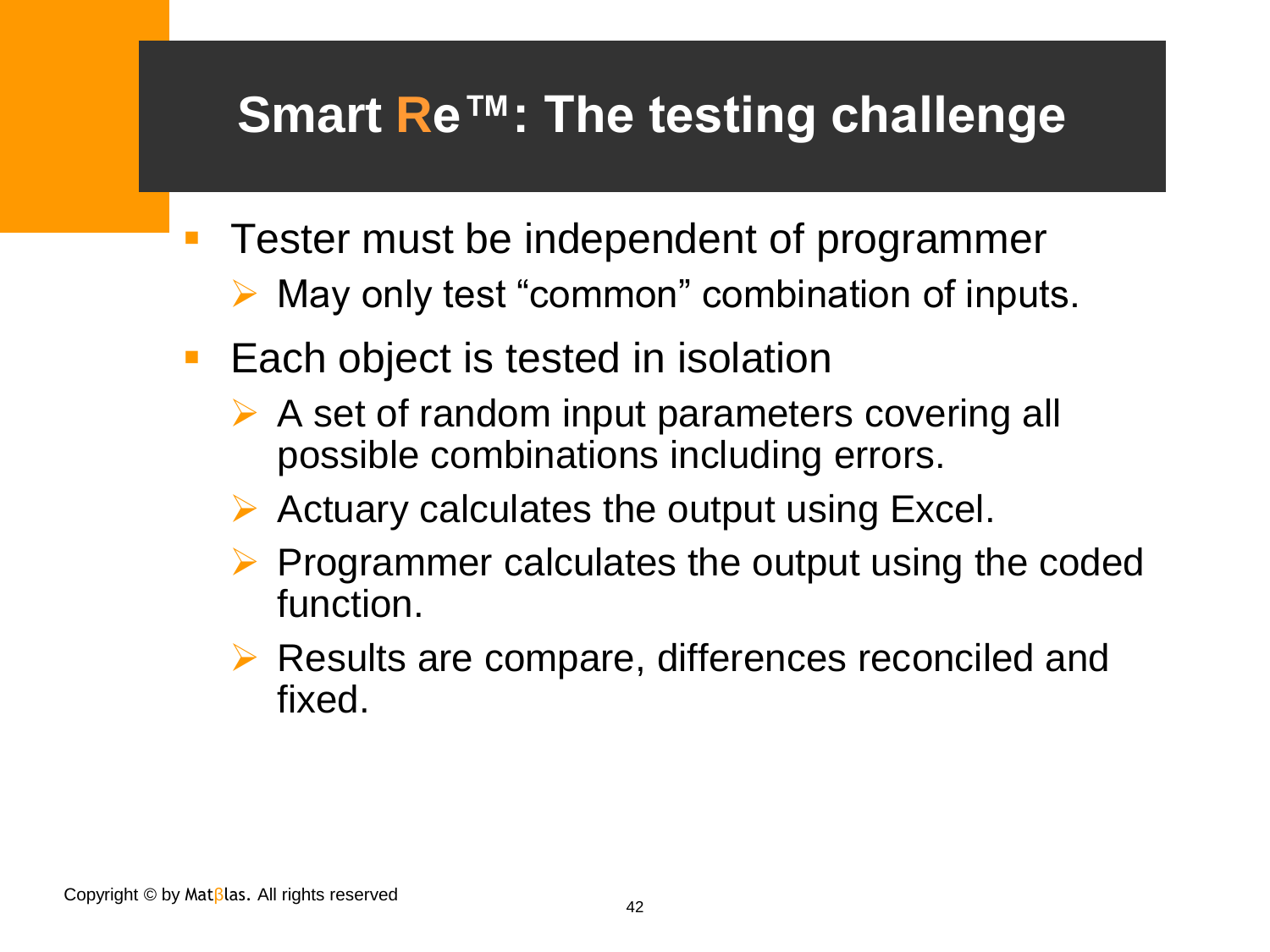## **Smart Re™: The testing challenge**

- Tester must be independent of programmer  $\triangleright$  May only test "common" combination of inputs.
- Each object is tested in isolation
	- $\triangleright$  A set of random input parameters covering all possible combinations including errors.
	- $\triangleright$  Actuary calculates the output using Excel.
	- $\triangleright$  Programmer calculates the output using the coded function.
	- $\triangleright$  Results are compare, differences reconciled and fixed.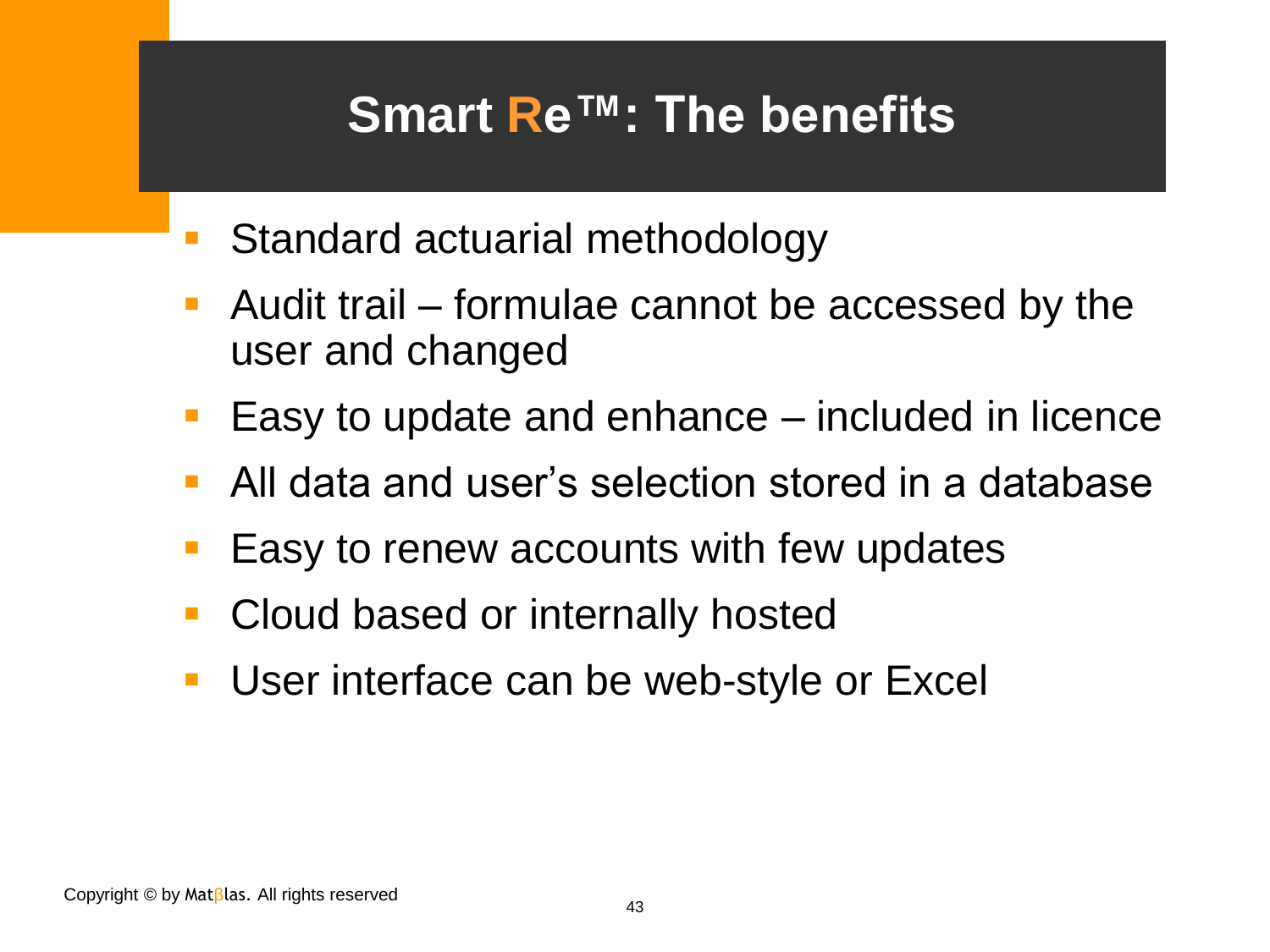## **Smart Re™: The benefits**

- **Standard actuarial methodology**
- Audit trail formulae cannot be accessed by the user and changed
- **Easy to update and enhance**  $-$  included in licence
- All data and user's selection stored in a database
- Easy to renew accounts with few updates
- Cloud based or internally hosted
- User interface can be web-style or Excel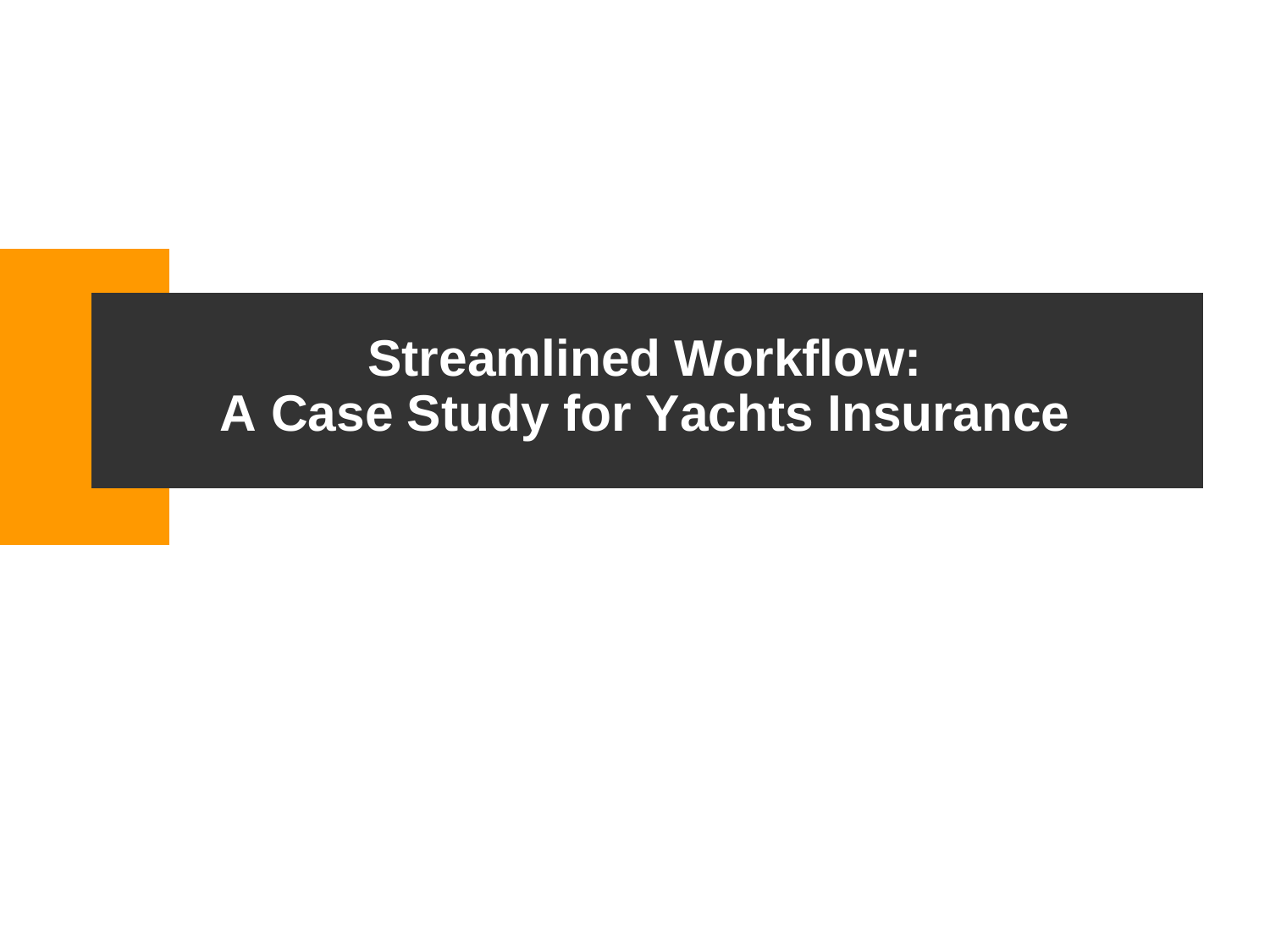#### **Streamlined Workflow: A Case Study for Yachts Insurance**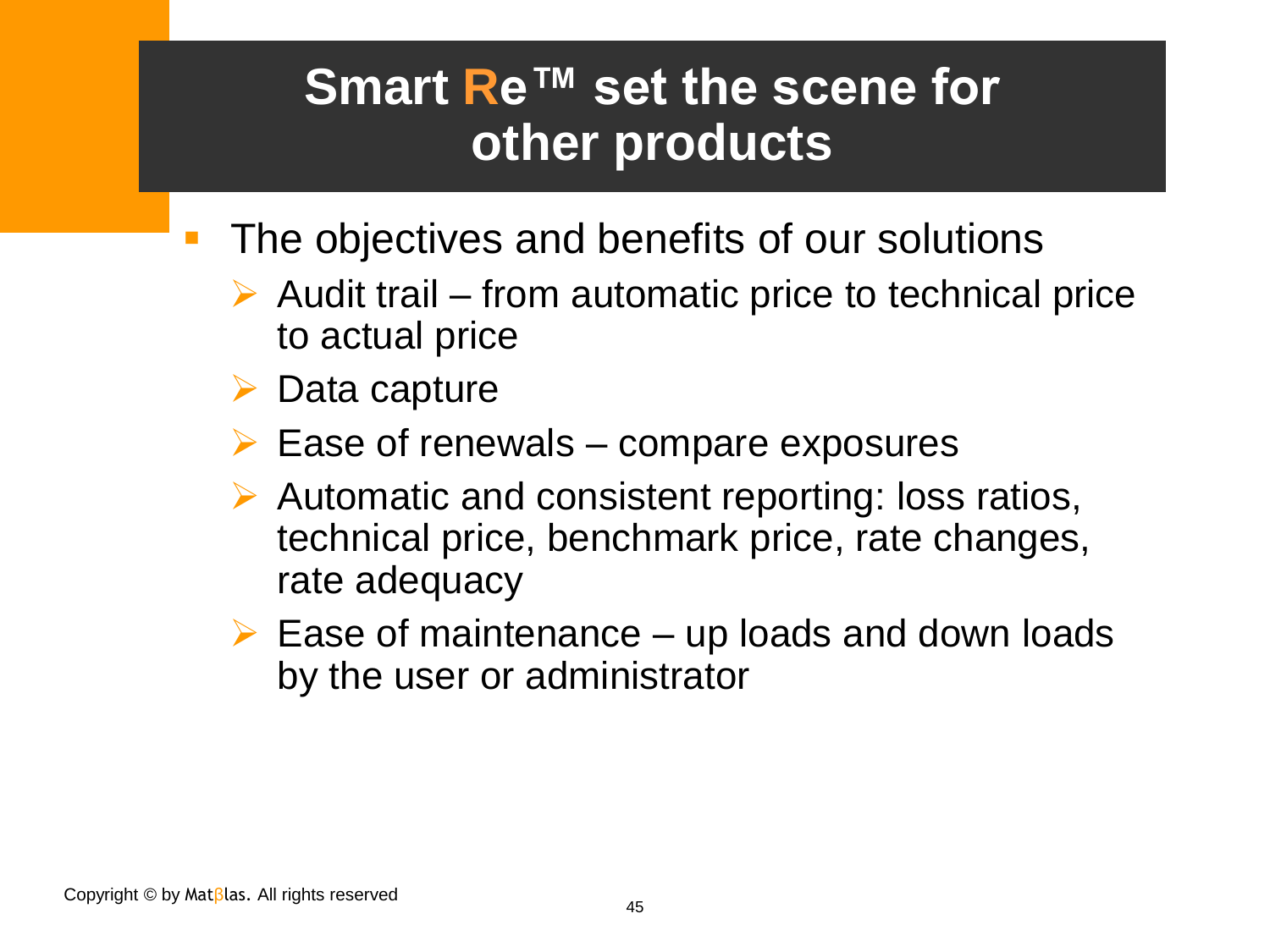## **Smart Re™ set the scene for other products**

- The objectives and benefits of our solutions
	- $\triangleright$  Audit trail from automatic price to technical price to actual price
	- $\triangleright$  Data capture
	- $\triangleright$  Ease of renewals compare exposures
	- $\triangleright$  Automatic and consistent reporting: loss ratios, technical price, benchmark price, rate changes, rate adequacy
	- $\triangleright$  Ease of maintenance up loads and down loads by the user or administrator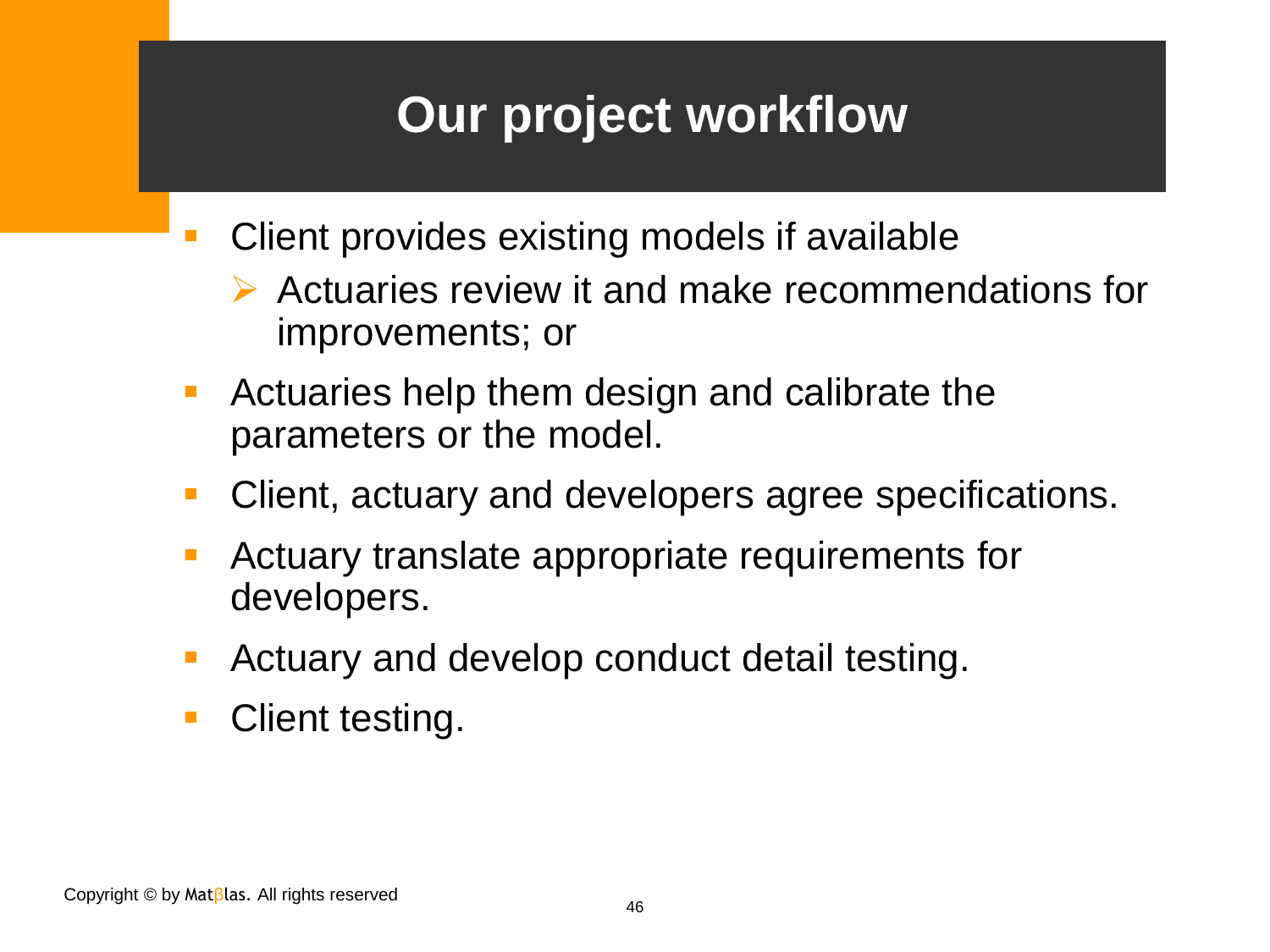# **Our project workflow**

- Client provides existing models if available
	- Actuaries review it and make recommendations for improvements; or
- Actuaries help them design and calibrate the parameters or the model.
- Client, actuary and developers agree specifications.
- Actuary translate appropriate requirements for developers.
- Actuary and develop conduct detail testing.
- Client testing.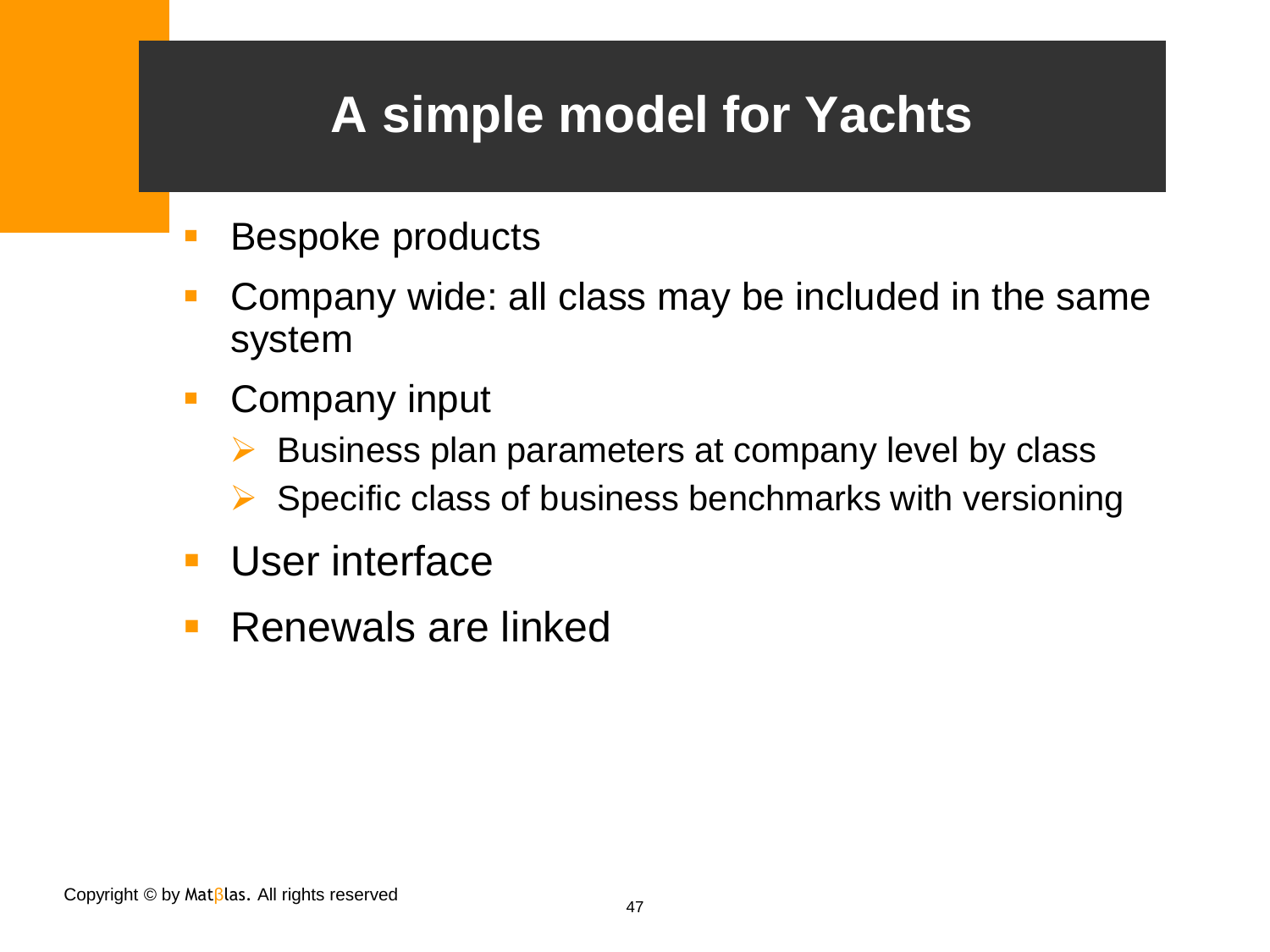# **A simple model for Yachts**

- Bespoke products
- Company wide: all class may be included in the same system
- **Company input** 
	- $\triangleright$  Business plan parameters at company level by class
	- $\triangleright$  Specific class of business benchmarks with versioning
- **User interface**
- Renewals are linked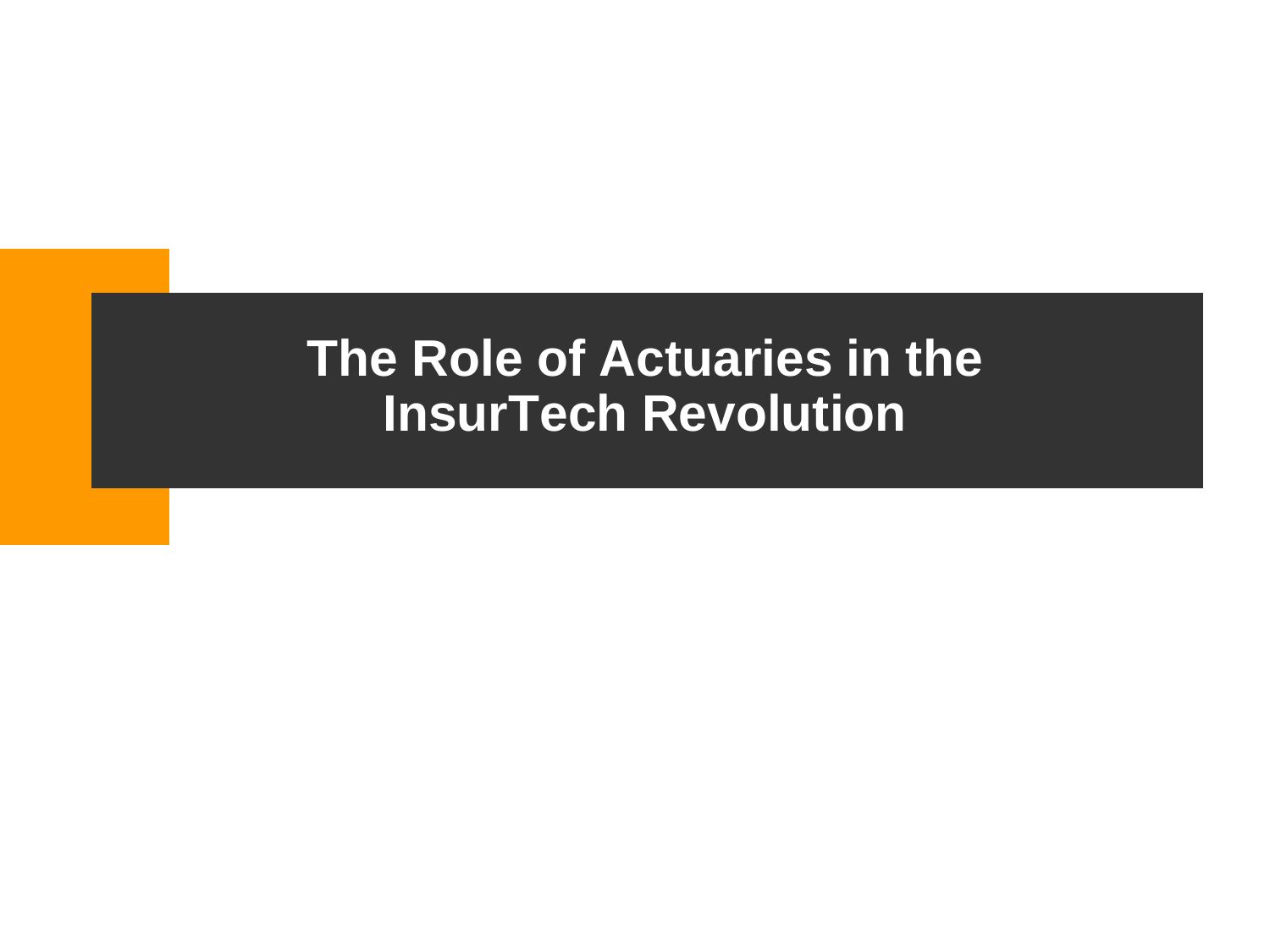#### **The Role of Actuaries in the InsurTech Revolution**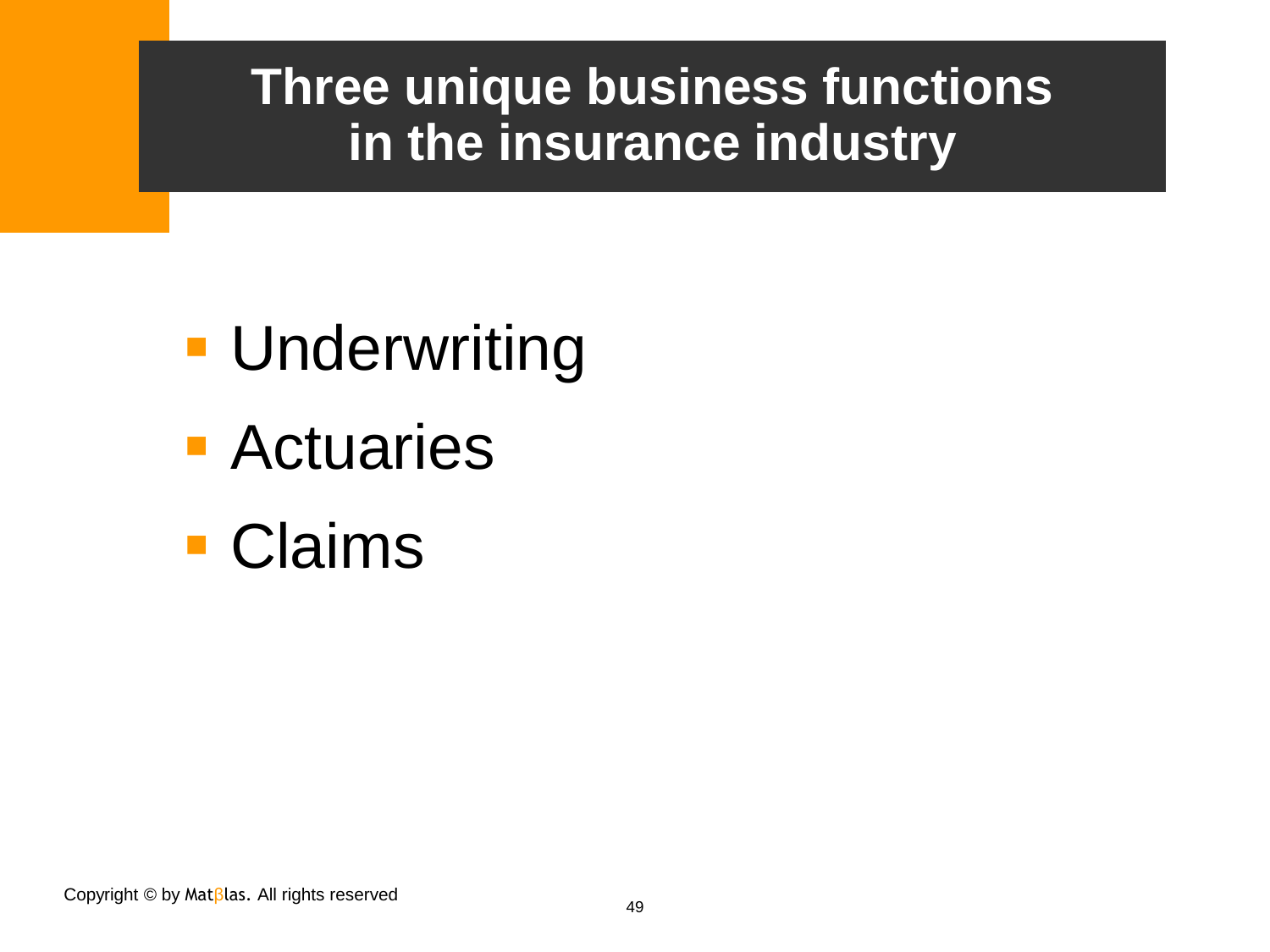## **Three unique business functions in the insurance industry**

- **Underwriting**
- Actuaries
- Claims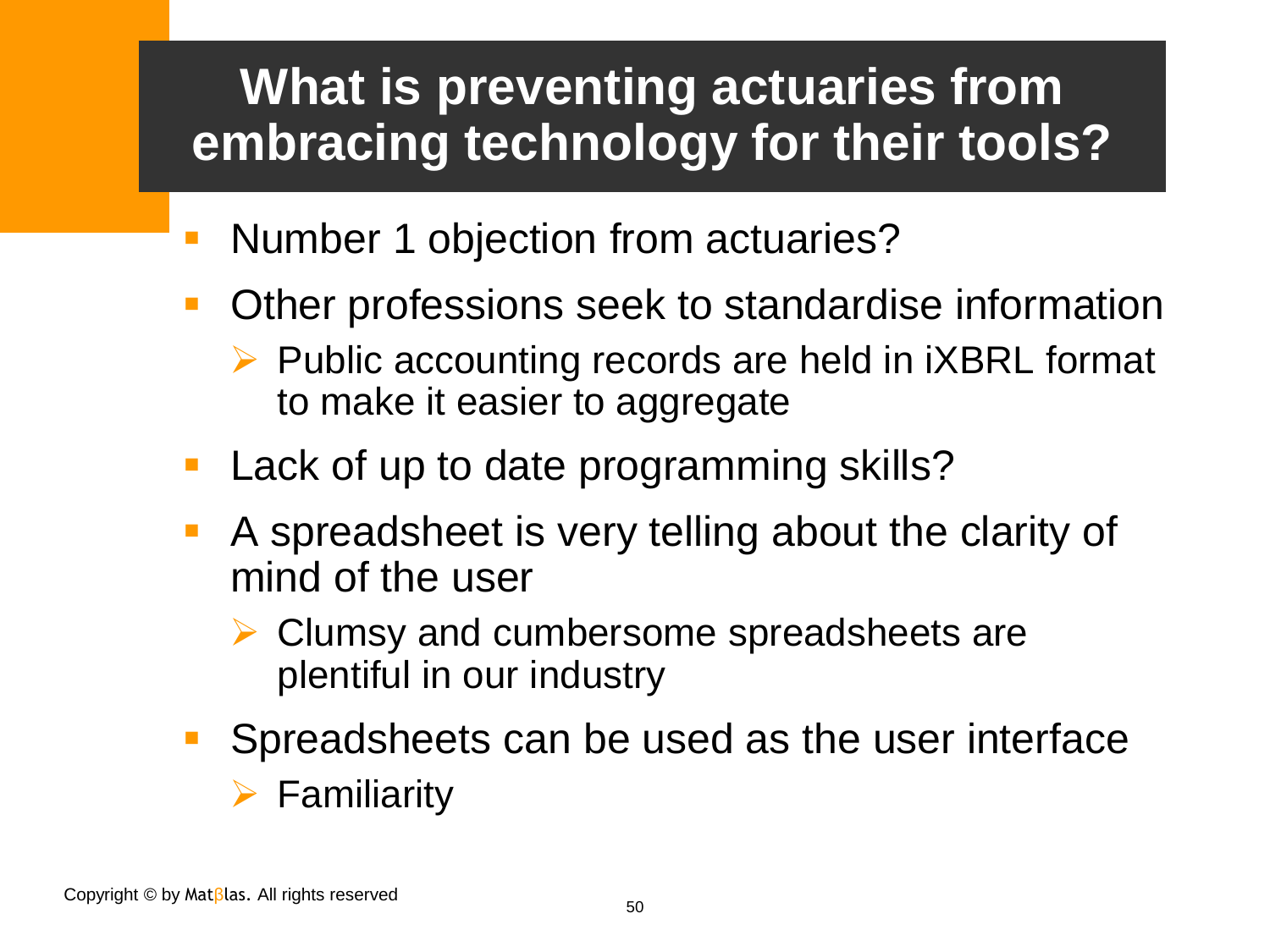# **What is preventing actuaries from embracing technology for their tools?**

- Number 1 objection from actuaries?
- Other professions seek to standardise information
	- $\triangleright$  Public accounting records are held in iXBRL format to make it easier to aggregate
- **Lack of up to date programming skills?**
- A spreadsheet is very telling about the clarity of mind of the user
	- $\triangleright$  Clumsy and cumbersome spreadsheets are plentiful in our industry
- **Spreadsheets can be used as the user interface**  $\triangleright$  Familiarity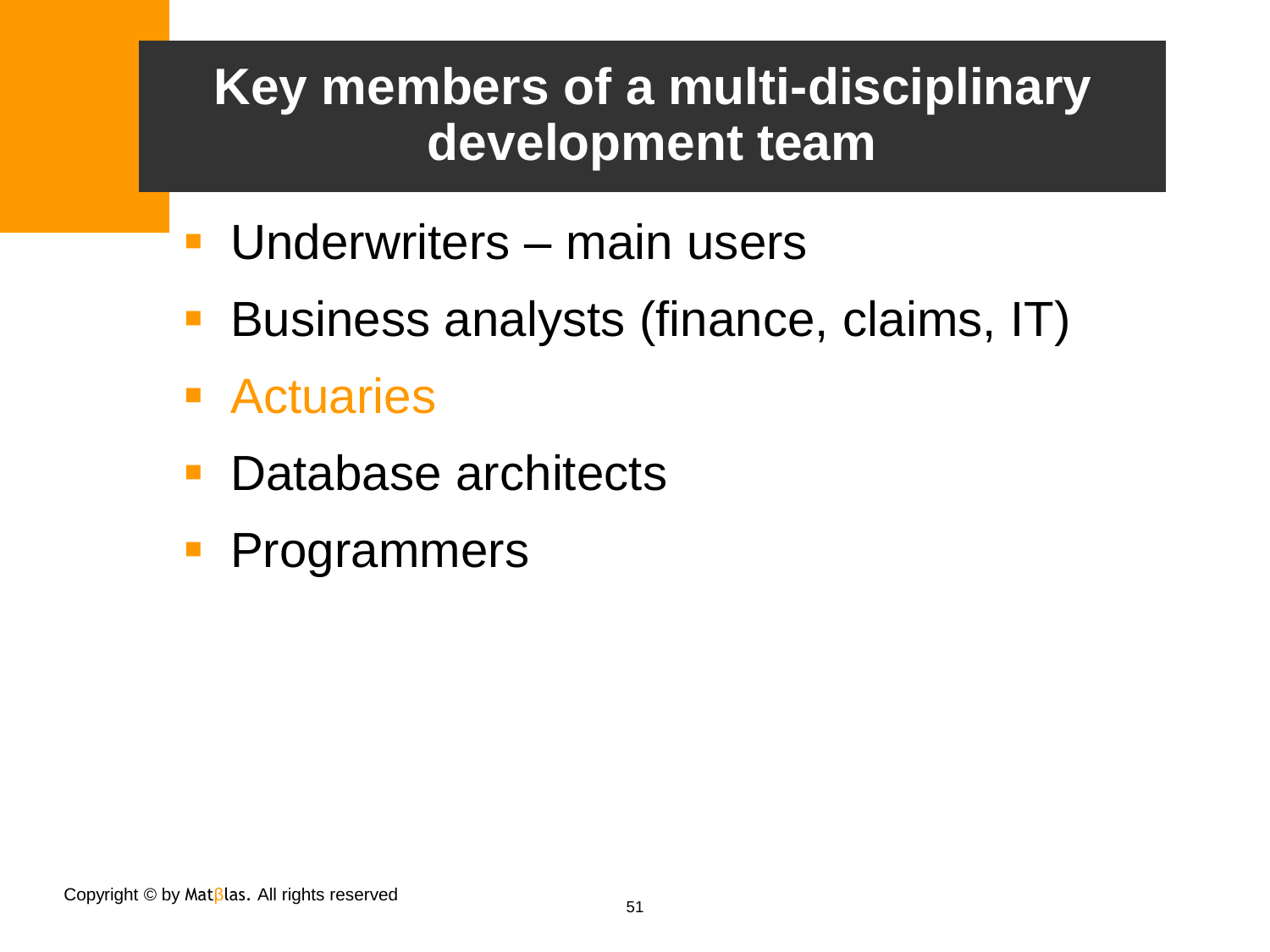## **Key members of a multi-disciplinary development team**

- **Underwriters main users**
- Business analysts (finance, claims, IT)
- Actuaries
- **Database architects**
- **Programmers**